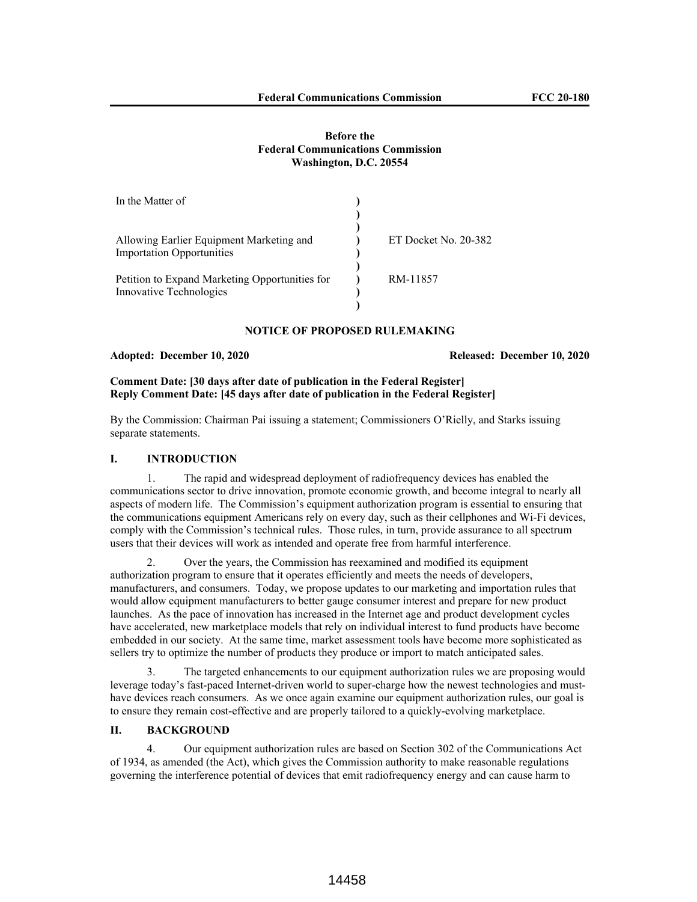#### **Before the Federal Communications Commission Washington, D.C. 20554**

| In the Matter of                               |                      |
|------------------------------------------------|----------------------|
|                                                |                      |
|                                                |                      |
| Allowing Earlier Equipment Marketing and       | ET Docket No. 20-382 |
| <b>Importation Opportunities</b>               |                      |
|                                                |                      |
| Petition to Expand Marketing Opportunities for | RM-11857             |
| Innovative Technologies                        |                      |
|                                                |                      |

# **NOTICE OF PROPOSED RULEMAKING**

## **Adopted: December 10, 2020 Released: December 10, 2020**

# **Comment Date: [30 days after date of publication in the Federal Register] Reply Comment Date: [45 days after date of publication in the Federal Register]**

By the Commission: Chairman Pai issuing a statement; Commissioners O'Rielly, and Starks issuing separate statements.

## **I. INTRODUCTION**

1. The rapid and widespread deployment of radiofrequency devices has enabled the communications sector to drive innovation, promote economic growth, and become integral to nearly all aspects of modern life. The Commission's equipment authorization program is essential to ensuring that the communications equipment Americans rely on every day, such as their cellphones and Wi-Fi devices, comply with the Commission's technical rules. Those rules, in turn, provide assurance to all spectrum users that their devices will work as intended and operate free from harmful interference.

2. Over the years, the Commission has reexamined and modified its equipment authorization program to ensure that it operates efficiently and meets the needs of developers, manufacturers, and consumers. Today, we propose updates to our marketing and importation rules that would allow equipment manufacturers to better gauge consumer interest and prepare for new product launches. As the pace of innovation has increased in the Internet age and product development cycles have accelerated, new marketplace models that rely on individual interest to fund products have become embedded in our society. At the same time, market assessment tools have become more sophisticated as sellers try to optimize the number of products they produce or import to match anticipated sales.

3. The targeted enhancements to our equipment authorization rules we are proposing would leverage today's fast-paced Internet-driven world to super-charge how the newest technologies and musthave devices reach consumers. As we once again examine our equipment authorization rules, our goal is to ensure they remain cost-effective and are properly tailored to a quickly-evolving marketplace.

#### **II. BACKGROUND**

4. Our equipment authorization rules are based on Section 302 of the Communications Act of 1934, as amended (the Act), which gives the Commission authority to make reasonable regulations governing the interference potential of devices that emit radiofrequency energy and can cause harm to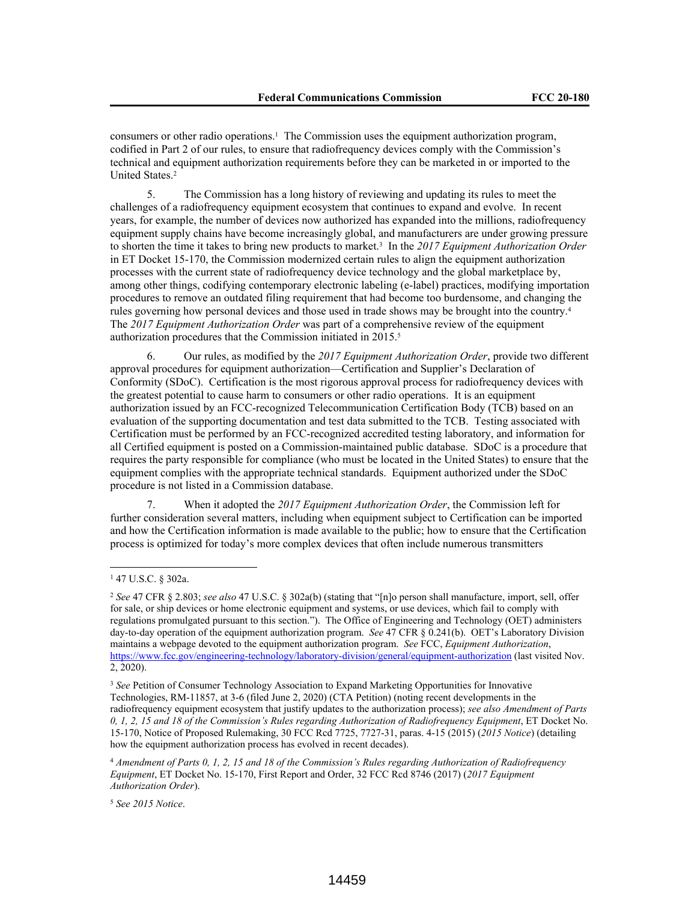consumers or other radio operations.<sup>1</sup> The Commission uses the equipment authorization program, codified in Part 2 of our rules, to ensure that radiofrequency devices comply with the Commission's technical and equipment authorization requirements before they can be marketed in or imported to the United States.<sup>2</sup>

5. The Commission has a long history of reviewing and updating its rules to meet the challenges of a radiofrequency equipment ecosystem that continues to expand and evolve. In recent years, for example, the number of devices now authorized has expanded into the millions, radiofrequency equipment supply chains have become increasingly global, and manufacturers are under growing pressure to shorten the time it takes to bring new products to market.<sup>3</sup> In the *2017 Equipment Authorization Order*  in ET Docket 15-170, the Commission modernized certain rules to align the equipment authorization processes with the current state of radiofrequency device technology and the global marketplace by, among other things, codifying contemporary electronic labeling (e-label) practices, modifying importation procedures to remove an outdated filing requirement that had become too burdensome, and changing the rules governing how personal devices and those used in trade shows may be brought into the country.<sup>4</sup> The *2017 Equipment Authorization Order* was part of a comprehensive review of the equipment authorization procedures that the Commission initiated in 2015.<sup>5</sup>

6. Our rules, as modified by the *2017 Equipment Authorization Order*, provide two different approval procedures for equipment authorization—Certification and Supplier's Declaration of Conformity (SDoC). Certification is the most rigorous approval process for radiofrequency devices with the greatest potential to cause harm to consumers or other radio operations. It is an equipment authorization issued by an FCC-recognized Telecommunication Certification Body (TCB) based on an evaluation of the supporting documentation and test data submitted to the TCB. Testing associated with Certification must be performed by an FCC-recognized accredited testing laboratory, and information for all Certified equipment is posted on a Commission-maintained public database. SDoC is a procedure that requires the party responsible for compliance (who must be located in the United States) to ensure that the equipment complies with the appropriate technical standards. Equipment authorized under the SDoC procedure is not listed in a Commission database.

7. When it adopted the *2017 Equipment Authorization Order*, the Commission left for further consideration several matters, including when equipment subject to Certification can be imported and how the Certification information is made available to the public; how to ensure that the Certification process is optimized for today's more complex devices that often include numerous transmitters

<sup>1</sup> 47 U.S.C. § 302a.

<sup>2</sup> *See* 47 CFR § 2.803; *see also* 47 U.S.C. § 302a(b) (stating that "[n]o person shall manufacture, import, sell, offer for sale, or ship devices or home electronic equipment and systems, or use devices, which fail to comply with regulations promulgated pursuant to this section."). The Office of Engineering and Technology (OET) administers day-to-day operation of the equipment authorization program. *See* 47 CFR § 0.241(b). OET's Laboratory Division maintains a webpage devoted to the equipment authorization program. *See* FCC, *Equipment Authorization*, https://www.fcc.gov/engineering-technology/laboratory-division/general/equipment-authorization (last visited Nov. 2, 2020).

<sup>3</sup> *See* Petition of Consumer Technology Association to Expand Marketing Opportunities for Innovative Technologies, RM-11857, at 3-6 (filed June 2, 2020) (CTA Petition) (noting recent developments in the radiofrequency equipment ecosystem that justify updates to the authorization process); *see also Amendment of Parts 0, 1, 2, 15 and 18 of the Commission's Rules regarding Authorization of Radiofrequency Equipment*, ET Docket No. 15-170, Notice of Proposed Rulemaking, 30 FCC Rcd 7725, 7727-31, paras. 4-15 (2015) (*2015 Notice*) (detailing how the equipment authorization process has evolved in recent decades).

<sup>4</sup> *Amendment of Parts 0, 1, 2, 15 and 18 of the Commission's Rules regarding Authorization of Radiofrequency Equipment*, ET Docket No. 15-170, First Report and Order, 32 FCC Rcd 8746 (2017) (*2017 Equipment Authorization Order*).

<sup>5</sup> *See 2015 Notice*.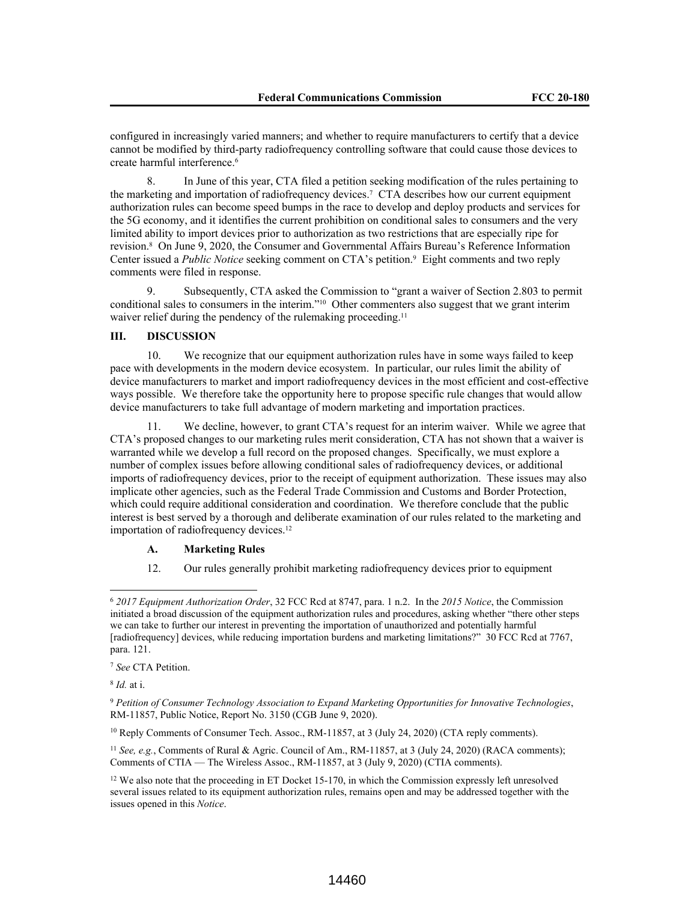configured in increasingly varied manners; and whether to require manufacturers to certify that a device cannot be modified by third-party radiofrequency controlling software that could cause those devices to create harmful interference.<sup>6</sup>

8. In June of this year, CTA filed a petition seeking modification of the rules pertaining to the marketing and importation of radiofrequency devices.<sup>7</sup> CTA describes how our current equipment authorization rules can become speed bumps in the race to develop and deploy products and services for the 5G economy, and it identifies the current prohibition on conditional sales to consumers and the very limited ability to import devices prior to authorization as two restrictions that are especially ripe for revision.<sup>8</sup> On June 9, 2020, the Consumer and Governmental Affairs Bureau's Reference Information Center issued a *Public Notice* seeking comment on CTA's petition.<sup>9</sup> Eight comments and two reply comments were filed in response.

9. Subsequently, CTA asked the Commission to "grant a waiver of Section 2.803 to permit conditional sales to consumers in the interim."10 Other commenters also suggest that we grant interim waiver relief during the pendency of the rulemaking proceeding.<sup>11</sup>

## **III. DISCUSSION**

10. We recognize that our equipment authorization rules have in some ways failed to keep pace with developments in the modern device ecosystem. In particular, our rules limit the ability of device manufacturers to market and import radiofrequency devices in the most efficient and cost-effective ways possible. We therefore take the opportunity here to propose specific rule changes that would allow device manufacturers to take full advantage of modern marketing and importation practices.

We decline, however, to grant CTA's request for an interim waiver. While we agree that CTA's proposed changes to our marketing rules merit consideration, CTA has not shown that a waiver is warranted while we develop a full record on the proposed changes. Specifically, we must explore a number of complex issues before allowing conditional sales of radiofrequency devices, or additional imports of radiofrequency devices, prior to the receipt of equipment authorization. These issues may also implicate other agencies, such as the Federal Trade Commission and Customs and Border Protection, which could require additional consideration and coordination. We therefore conclude that the public interest is best served by a thorough and deliberate examination of our rules related to the marketing and importation of radiofrequency devices.<sup>12</sup>

#### **A. Marketing Rules**

12. Our rules generally prohibit marketing radiofrequency devices prior to equipment

<sup>10</sup> Reply Comments of Consumer Tech. Assoc., RM-11857, at 3 (July 24, 2020) (CTA reply comments).

<sup>11</sup> *See, e.g.*, Comments of Rural & Agric. Council of Am., RM-11857, at 3 (July 24, 2020) (RACA comments); Comments of CTIA — The Wireless Assoc., RM-11857, at 3 (July 9, 2020) (CTIA comments).

<sup>6</sup> *2017 Equipment Authorization Order*, 32 FCC Rcd at 8747, para. 1 n.2. In the *2015 Notice*, the Commission initiated a broad discussion of the equipment authorization rules and procedures, asking whether "there other steps we can take to further our interest in preventing the importation of unauthorized and potentially harmful [radiofrequency] devices, while reducing importation burdens and marketing limitations?" 30 FCC Rcd at 7767, para. 121.

<sup>7</sup> *See* CTA Petition.

<sup>8</sup> *Id.* at i.

<sup>9</sup> *Petition of Consumer Technology Association to Expand Marketing Opportunities for Innovative Technologies*, RM-11857, Public Notice, Report No. 3150 (CGB June 9, 2020).

<sup>&</sup>lt;sup>12</sup> We also note that the proceeding in ET Docket 15-170, in which the Commission expressly left unresolved several issues related to its equipment authorization rules, remains open and may be addressed together with the issues opened in this *Notice*.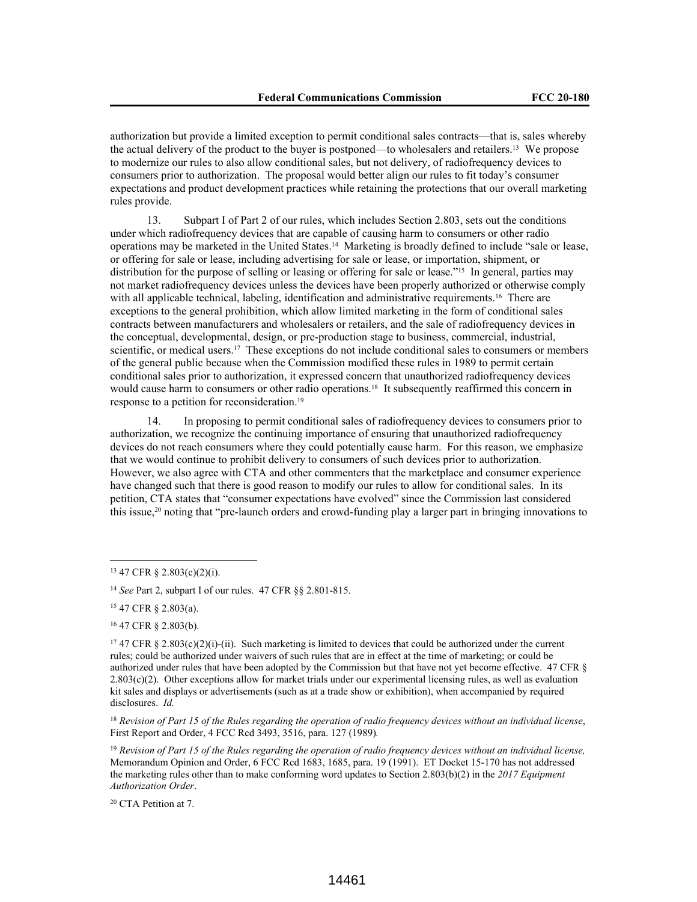authorization but provide a limited exception to permit conditional sales contracts—that is, sales whereby the actual delivery of the product to the buyer is postponed—to wholesalers and retailers.13 We propose to modernize our rules to also allow conditional sales, but not delivery, of radiofrequency devices to consumers prior to authorization. The proposal would better align our rules to fit today's consumer expectations and product development practices while retaining the protections that our overall marketing rules provide.

13. Subpart I of Part 2 of our rules, which includes Section 2.803, sets out the conditions under which radiofrequency devices that are capable of causing harm to consumers or other radio operations may be marketed in the United States.14 Marketing is broadly defined to include "sale or lease, or offering for sale or lease, including advertising for sale or lease, or importation, shipment, or distribution for the purpose of selling or leasing or offering for sale or lease."<sup>15</sup> In general, parties may not market radiofrequency devices unless the devices have been properly authorized or otherwise comply with all applicable technical, labeling, identification and administrative requirements.<sup>16</sup> There are exceptions to the general prohibition, which allow limited marketing in the form of conditional sales contracts between manufacturers and wholesalers or retailers, and the sale of radiofrequency devices in the conceptual, developmental, design, or pre-production stage to business, commercial, industrial, scientific, or medical users.<sup>17</sup> These exceptions do not include conditional sales to consumers or members of the general public because when the Commission modified these rules in 1989 to permit certain conditional sales prior to authorization, it expressed concern that unauthorized radiofrequency devices would cause harm to consumers or other radio operations.<sup>18</sup> It subsequently reaffirmed this concern in response to a petition for reconsideration.<sup>19</sup>

14. In proposing to permit conditional sales of radiofrequency devices to consumers prior to authorization, we recognize the continuing importance of ensuring that unauthorized radiofrequency devices do not reach consumers where they could potentially cause harm. For this reason, we emphasize that we would continue to prohibit delivery to consumers of such devices prior to authorization. However, we also agree with CTA and other commenters that the marketplace and consumer experience have changed such that there is good reason to modify our rules to allow for conditional sales. In its petition, CTA states that "consumer expectations have evolved" since the Commission last considered this issue,20 noting that "pre-launch orders and crowd-funding play a larger part in bringing innovations to

<sup>20</sup> CTA Petition at 7.

<sup>13</sup> 47 CFR § 2.803(c)(2)(i).

<sup>14</sup> *See* Part 2, subpart I of our rules. 47 CFR §§ 2.801-815.

<sup>15</sup> 47 CFR § 2.803(a).

<sup>16</sup> 47 CFR § 2.803(b).

<sup>&</sup>lt;sup>17</sup> 47 CFR § 2.803(c)(2)(i)-(ii). Such marketing is limited to devices that could be authorized under the current rules; could be authorized under waivers of such rules that are in effect at the time of marketing; or could be authorized under rules that have been adopted by the Commission but that have not yet become effective. 47 CFR §  $2.803(c)(2)$ . Other exceptions allow for market trials under our experimental licensing rules, as well as evaluation kit sales and displays or advertisements (such as at a trade show or exhibition), when accompanied by required disclosures. *Id.*

<sup>18</sup> *Revision of Part 15 of the Rules regarding the operation of radio frequency devices without an individual license*, First Report and Order, 4 FCC Rcd 3493, 3516, para. 127 (1989)*.*

<sup>19</sup> *Revision of Part 15 of the Rules regarding the operation of radio frequency devices without an individual license,*  Memorandum Opinion and Order, 6 FCC Rcd 1683, 1685, para. 19 (1991). ET Docket 15-170 has not addressed the marketing rules other than to make conforming word updates to Section 2.803(b)(2) in the *2017 Equipment Authorization Order*.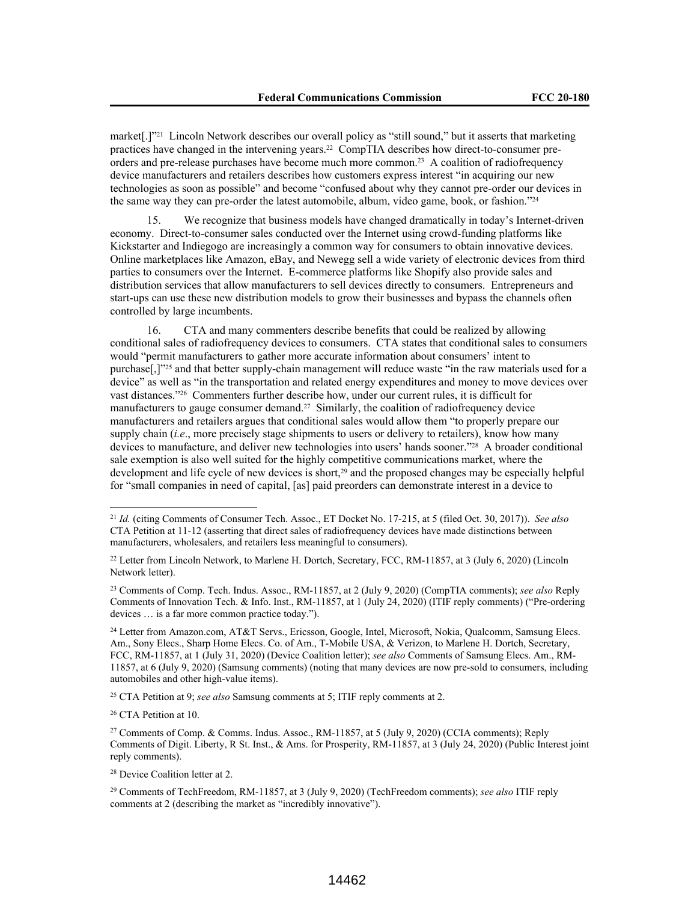market[.]"21 Lincoln Network describes our overall policy as "still sound," but it asserts that marketing practices have changed in the intervening years.22 CompTIA describes how direct-to-consumer preorders and pre-release purchases have become much more common.23 A coalition of radiofrequency device manufacturers and retailers describes how customers express interest "in acquiring our new technologies as soon as possible" and become "confused about why they cannot pre-order our devices in the same way they can pre-order the latest automobile, album, video game, book, or fashion."<sup>24</sup>

15. We recognize that business models have changed dramatically in today's Internet-driven economy. Direct-to-consumer sales conducted over the Internet using crowd-funding platforms like Kickstarter and Indiegogo are increasingly a common way for consumers to obtain innovative devices. Online marketplaces like Amazon, eBay, and Newegg sell a wide variety of electronic devices from third parties to consumers over the Internet. E-commerce platforms like Shopify also provide sales and distribution services that allow manufacturers to sell devices directly to consumers. Entrepreneurs and start-ups can use these new distribution models to grow their businesses and bypass the channels often controlled by large incumbents.

16. CTA and many commenters describe benefits that could be realized by allowing conditional sales of radiofrequency devices to consumers. CTA states that conditional sales to consumers would "permit manufacturers to gather more accurate information about consumers' intent to purchase[,]"<sup>25</sup> and that better supply-chain management will reduce waste "in the raw materials used for a device" as well as "in the transportation and related energy expenditures and money to move devices over vast distances."26 Commenters further describe how, under our current rules, it is difficult for manufacturers to gauge consumer demand.<sup>27</sup> Similarly, the coalition of radiofrequency device manufacturers and retailers argues that conditional sales would allow them "to properly prepare our supply chain (*i.e*., more precisely stage shipments to users or delivery to retailers), know how many devices to manufacture, and deliver new technologies into users' hands sooner."28 A broader conditional sale exemption is also well suited for the highly competitive communications market, where the development and life cycle of new devices is short,<sup>29</sup> and the proposed changes may be especially helpful for "small companies in need of capital, [as] paid preorders can demonstrate interest in a device to

<sup>23</sup> Comments of Comp. Tech. Indus. Assoc., RM-11857, at 2 (July 9, 2020) (CompTIA comments); *see also* Reply Comments of Innovation Tech. & Info. Inst., RM-11857, at 1 (July 24, 2020) (ITIF reply comments) ("Pre-ordering devices … is a far more common practice today.").

<sup>25</sup> CTA Petition at 9; *see also* Samsung comments at 5; ITIF reply comments at 2.

<sup>26</sup> CTA Petition at 10.

<sup>21</sup> *Id.* (citing Comments of Consumer Tech. Assoc., ET Docket No. 17-215, at 5 (filed Oct. 30, 2017)). *See also*  CTA Petition at 11-12 (asserting that direct sales of radiofrequency devices have made distinctions between manufacturers, wholesalers, and retailers less meaningful to consumers).

<sup>22</sup> Letter from Lincoln Network, to Marlene H. Dortch, Secretary, FCC, RM-11857, at 3 (July 6, 2020) (Lincoln Network letter).

<sup>24</sup> Letter from Amazon.com, AT&T Servs., Ericsson, Google, Intel, Microsoft, Nokia, Qualcomm, Samsung Elecs. Am., Sony Elecs., Sharp Home Elecs. Co. of Am., T-Mobile USA, & Verizon, to Marlene H. Dortch, Secretary, FCC, RM-11857, at 1 (July 31, 2020) (Device Coalition letter); *see also* Comments of Samsung Elecs. Am., RM-11857, at 6 (July 9, 2020) (Samsung comments) (noting that many devices are now pre-sold to consumers, including automobiles and other high-value items).

<sup>27</sup> Comments of Comp. & Comms. Indus. Assoc., RM-11857, at 5 (July 9, 2020) (CCIA comments); Reply Comments of Digit. Liberty, R St. Inst., & Ams. for Prosperity, RM-11857, at 3 (July 24, 2020) (Public Interest joint reply comments).

<sup>28</sup> Device Coalition letter at 2.

<sup>29</sup> Comments of TechFreedom, RM-11857, at 3 (July 9, 2020) (TechFreedom comments); *see also* ITIF reply comments at 2 (describing the market as "incredibly innovative").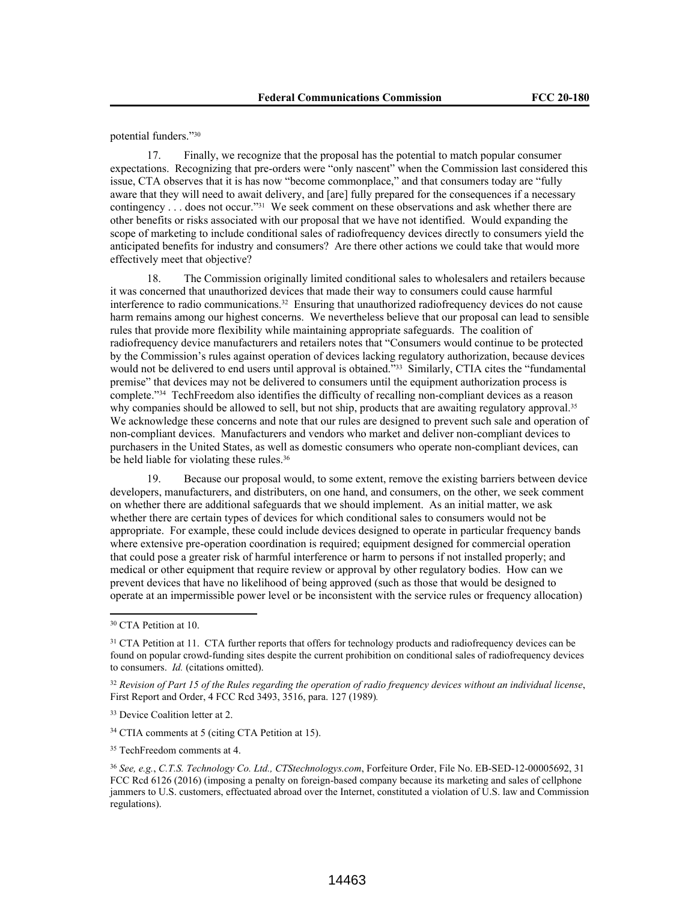potential funders."<sup>30</sup>

17. Finally, we recognize that the proposal has the potential to match popular consumer expectations. Recognizing that pre-orders were "only nascent" when the Commission last considered this issue, CTA observes that it is has now "become commonplace," and that consumers today are "fully aware that they will need to await delivery, and [are] fully prepared for the consequences if a necessary contingency . . . does not occur."31 We seek comment on these observations and ask whether there are other benefits or risks associated with our proposal that we have not identified. Would expanding the scope of marketing to include conditional sales of radiofrequency devices directly to consumers yield the anticipated benefits for industry and consumers? Are there other actions we could take that would more effectively meet that objective?

18. The Commission originally limited conditional sales to wholesalers and retailers because it was concerned that unauthorized devices that made their way to consumers could cause harmful interference to radio communications.32 Ensuring that unauthorized radiofrequency devices do not cause harm remains among our highest concerns. We nevertheless believe that our proposal can lead to sensible rules that provide more flexibility while maintaining appropriate safeguards. The coalition of radiofrequency device manufacturers and retailers notes that "Consumers would continue to be protected by the Commission's rules against operation of devices lacking regulatory authorization, because devices would not be delivered to end users until approval is obtained."33 Similarly, CTIA cites the "fundamental premise" that devices may not be delivered to consumers until the equipment authorization process is complete."34 TechFreedom also identifies the difficulty of recalling non-compliant devices as a reason why companies should be allowed to sell, but not ship, products that are awaiting regulatory approval.<sup>35</sup> We acknowledge these concerns and note that our rules are designed to prevent such sale and operation of non-compliant devices. Manufacturers and vendors who market and deliver non-compliant devices to purchasers in the United States, as well as domestic consumers who operate non-compliant devices, can be held liable for violating these rules.<sup>36</sup>

19. Because our proposal would, to some extent, remove the existing barriers between device developers, manufacturers, and distributers, on one hand, and consumers, on the other, we seek comment on whether there are additional safeguards that we should implement. As an initial matter, we ask whether there are certain types of devices for which conditional sales to consumers would not be appropriate. For example, these could include devices designed to operate in particular frequency bands where extensive pre-operation coordination is required; equipment designed for commercial operation that could pose a greater risk of harmful interference or harm to persons if not installed properly; and medical or other equipment that require review or approval by other regulatory bodies. How can we prevent devices that have no likelihood of being approved (such as those that would be designed to operate at an impermissible power level or be inconsistent with the service rules or frequency allocation)

<sup>34</sup> CTIA comments at 5 (citing CTA Petition at 15).

<sup>30</sup> CTA Petition at 10.

<sup>&</sup>lt;sup>31</sup> CTA Petition at 11. CTA further reports that offers for technology products and radiofrequency devices can be found on popular crowd-funding sites despite the current prohibition on conditional sales of radiofrequency devices to consumers. *Id.* (citations omitted).

<sup>32</sup> *Revision of Part 15 of the Rules regarding the operation of radio frequency devices without an individual license*, First Report and Order, 4 FCC Rcd 3493, 3516, para. 127 (1989)*.*

<sup>33</sup> Device Coalition letter at 2.

<sup>&</sup>lt;sup>35</sup> TechFreedom comments at 4.

<sup>36</sup> *See, e.g.*, *C.T.S. Technology Co. Ltd., CTStechnologys.com*, Forfeiture Order, File No. EB-SED-12-00005692, 31 FCC Rcd 6126 (2016) (imposing a penalty on foreign-based company because its marketing and sales of cellphone jammers to U.S. customers, effectuated abroad over the Internet, constituted a violation of U.S. law and Commission regulations).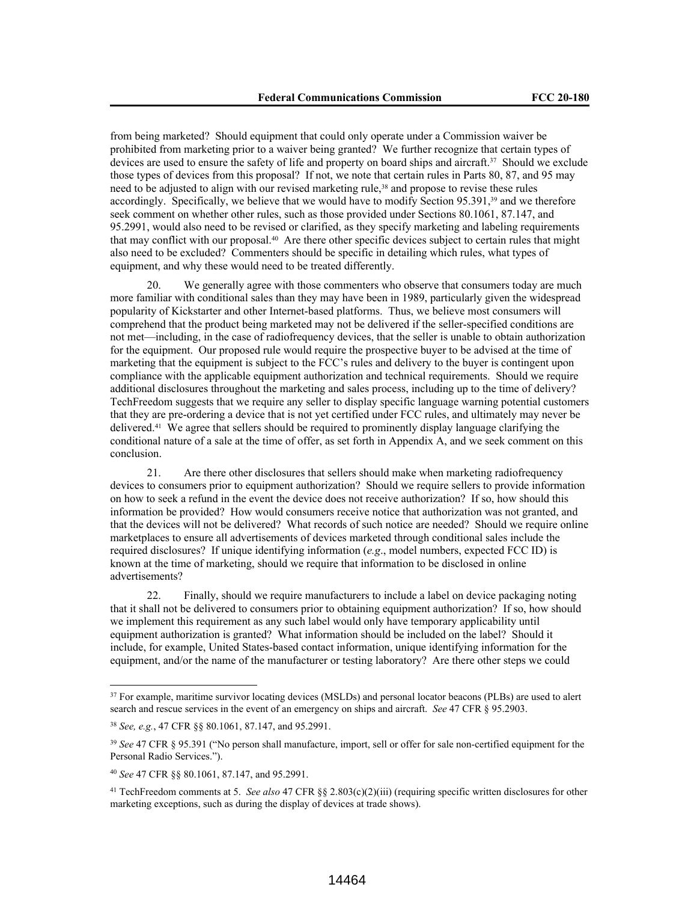from being marketed? Should equipment that could only operate under a Commission waiver be prohibited from marketing prior to a waiver being granted? We further recognize that certain types of devices are used to ensure the safety of life and property on board ships and aircraft.<sup>37</sup> Should we exclude those types of devices from this proposal? If not, we note that certain rules in Parts 80, 87, and 95 may need to be adjusted to align with our revised marketing rule,<sup>38</sup> and propose to revise these rules accordingly. Specifically, we believe that we would have to modify Section 95.391,39 and we therefore seek comment on whether other rules, such as those provided under Sections 80.1061, 87.147, and 95.2991, would also need to be revised or clarified, as they specify marketing and labeling requirements that may conflict with our proposal.40 Are there other specific devices subject to certain rules that might also need to be excluded? Commenters should be specific in detailing which rules, what types of equipment, and why these would need to be treated differently.

20. We generally agree with those commenters who observe that consumers today are much more familiar with conditional sales than they may have been in 1989, particularly given the widespread popularity of Kickstarter and other Internet-based platforms. Thus, we believe most consumers will comprehend that the product being marketed may not be delivered if the seller-specified conditions are not met—including, in the case of radiofrequency devices, that the seller is unable to obtain authorization for the equipment. Our proposed rule would require the prospective buyer to be advised at the time of marketing that the equipment is subject to the FCC's rules and delivery to the buyer is contingent upon compliance with the applicable equipment authorization and technical requirements. Should we require additional disclosures throughout the marketing and sales process, including up to the time of delivery? TechFreedom suggests that we require any seller to display specific language warning potential customers that they are pre-ordering a device that is not yet certified under FCC rules, and ultimately may never be delivered.41 We agree that sellers should be required to prominently display language clarifying the conditional nature of a sale at the time of offer, as set forth in Appendix A, and we seek comment on this conclusion.

21. Are there other disclosures that sellers should make when marketing radiofrequency devices to consumers prior to equipment authorization? Should we require sellers to provide information on how to seek a refund in the event the device does not receive authorization? If so, how should this information be provided? How would consumers receive notice that authorization was not granted, and that the devices will not be delivered? What records of such notice are needed? Should we require online marketplaces to ensure all advertisements of devices marketed through conditional sales include the required disclosures? If unique identifying information (*e.g*., model numbers, expected FCC ID) is known at the time of marketing, should we require that information to be disclosed in online advertisements?

22. Finally, should we require manufacturers to include a label on device packaging noting that it shall not be delivered to consumers prior to obtaining equipment authorization? If so, how should we implement this requirement as any such label would only have temporary applicability until equipment authorization is granted? What information should be included on the label? Should it include, for example, United States-based contact information, unique identifying information for the equipment, and/or the name of the manufacturer or testing laboratory? Are there other steps we could

<sup>&</sup>lt;sup>37</sup> For example, maritime survivor locating devices (MSLDs) and personal locator beacons (PLBs) are used to alert search and rescue services in the event of an emergency on ships and aircraft. *See* 47 CFR § 95.2903.

<sup>38</sup> *See, e.g.*, 47 CFR §§ 80.1061, 87.147, and 95.2991.

<sup>39</sup> *See* 47 CFR § 95.391 ("No person shall manufacture, import, sell or offer for sale non-certified equipment for the Personal Radio Services.").

<sup>40</sup> *See* 47 CFR §§ 80.1061, 87.147, and 95.2991.

<sup>41</sup> TechFreedom comments at 5. *See also* 47 CFR §§ 2.803(c)(2)(iii) (requiring specific written disclosures for other marketing exceptions, such as during the display of devices at trade shows).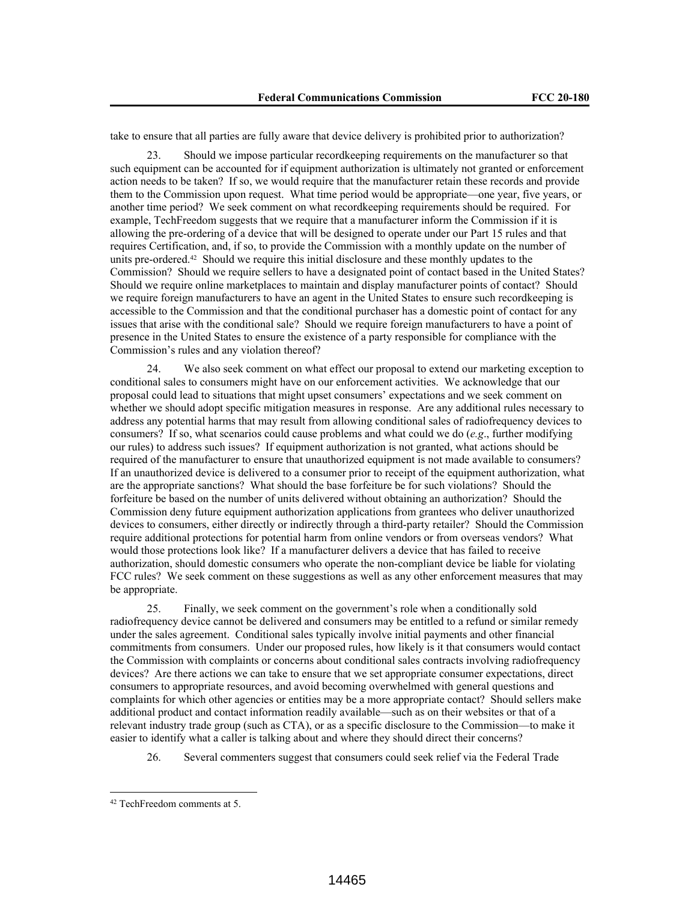take to ensure that all parties are fully aware that device delivery is prohibited prior to authorization?

23. Should we impose particular recordkeeping requirements on the manufacturer so that such equipment can be accounted for if equipment authorization is ultimately not granted or enforcement action needs to be taken? If so, we would require that the manufacturer retain these records and provide them to the Commission upon request. What time period would be appropriate—one year, five years, or another time period? We seek comment on what recordkeeping requirements should be required. For example, TechFreedom suggests that we require that a manufacturer inform the Commission if it is allowing the pre-ordering of a device that will be designed to operate under our Part 15 rules and that requires Certification, and, if so, to provide the Commission with a monthly update on the number of units pre-ordered.<sup>42</sup> Should we require this initial disclosure and these monthly updates to the Commission? Should we require sellers to have a designated point of contact based in the United States? Should we require online marketplaces to maintain and display manufacturer points of contact? Should we require foreign manufacturers to have an agent in the United States to ensure such recordkeeping is accessible to the Commission and that the conditional purchaser has a domestic point of contact for any issues that arise with the conditional sale? Should we require foreign manufacturers to have a point of presence in the United States to ensure the existence of a party responsible for compliance with the Commission's rules and any violation thereof?

24. We also seek comment on what effect our proposal to extend our marketing exception to conditional sales to consumers might have on our enforcement activities. We acknowledge that our proposal could lead to situations that might upset consumers' expectations and we seek comment on whether we should adopt specific mitigation measures in response. Are any additional rules necessary to address any potential harms that may result from allowing conditional sales of radiofrequency devices to consumers? If so, what scenarios could cause problems and what could we do (*e.g*., further modifying our rules) to address such issues? If equipment authorization is not granted, what actions should be required of the manufacturer to ensure that unauthorized equipment is not made available to consumers? If an unauthorized device is delivered to a consumer prior to receipt of the equipment authorization, what are the appropriate sanctions? What should the base forfeiture be for such violations? Should the forfeiture be based on the number of units delivered without obtaining an authorization? Should the Commission deny future equipment authorization applications from grantees who deliver unauthorized devices to consumers, either directly or indirectly through a third-party retailer? Should the Commission require additional protections for potential harm from online vendors or from overseas vendors? What would those protections look like? If a manufacturer delivers a device that has failed to receive authorization, should domestic consumers who operate the non-compliant device be liable for violating FCC rules? We seek comment on these suggestions as well as any other enforcement measures that may be appropriate.

25. Finally, we seek comment on the government's role when a conditionally sold radiofrequency device cannot be delivered and consumers may be entitled to a refund or similar remedy under the sales agreement. Conditional sales typically involve initial payments and other financial commitments from consumers. Under our proposed rules, how likely is it that consumers would contact the Commission with complaints or concerns about conditional sales contracts involving radiofrequency devices? Are there actions we can take to ensure that we set appropriate consumer expectations, direct consumers to appropriate resources, and avoid becoming overwhelmed with general questions and complaints for which other agencies or entities may be a more appropriate contact? Should sellers make additional product and contact information readily available—such as on their websites or that of a relevant industry trade group (such as CTA), or as a specific disclosure to the Commission—to make it easier to identify what a caller is talking about and where they should direct their concerns?

26. Several commenters suggest that consumers could seek relief via the Federal Trade

<sup>42</sup> TechFreedom comments at 5.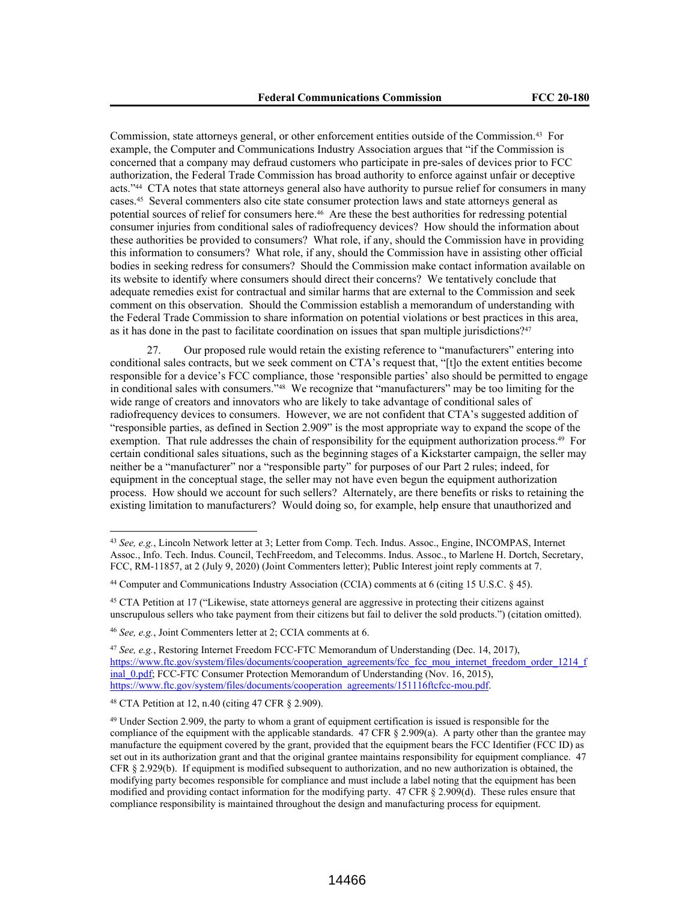Commission, state attorneys general, or other enforcement entities outside of the Commission.43 For example, the Computer and Communications Industry Association argues that "if the Commission is concerned that a company may defraud customers who participate in pre-sales of devices prior to FCC authorization, the Federal Trade Commission has broad authority to enforce against unfair or deceptive acts."44 CTA notes that state attorneys general also have authority to pursue relief for consumers in many cases.45 Several commenters also cite state consumer protection laws and state attorneys general as potential sources of relief for consumers here.46 Are these the best authorities for redressing potential consumer injuries from conditional sales of radiofrequency devices? How should the information about these authorities be provided to consumers? What role, if any, should the Commission have in providing this information to consumers? What role, if any, should the Commission have in assisting other official bodies in seeking redress for consumers? Should the Commission make contact information available on its website to identify where consumers should direct their concerns? We tentatively conclude that adequate remedies exist for contractual and similar harms that are external to the Commission and seek comment on this observation. Should the Commission establish a memorandum of understanding with the Federal Trade Commission to share information on potential violations or best practices in this area, as it has done in the past to facilitate coordination on issues that span multiple jurisdictions?<sup>47</sup>

27. Our proposed rule would retain the existing reference to "manufacturers" entering into conditional sales contracts, but we seek comment on CTA's request that, "[t]o the extent entities become responsible for a device's FCC compliance, those 'responsible parties' also should be permitted to engage in conditional sales with consumers."48 We recognize that "manufacturers" may be too limiting for the wide range of creators and innovators who are likely to take advantage of conditional sales of radiofrequency devices to consumers. However, we are not confident that CTA's suggested addition of "responsible parties, as defined in Section 2.909" is the most appropriate way to expand the scope of the exemption. That rule addresses the chain of responsibility for the equipment authorization process.<sup>49</sup> For certain conditional sales situations, such as the beginning stages of a Kickstarter campaign, the seller may neither be a "manufacturer" nor a "responsible party" for purposes of our Part 2 rules; indeed, for equipment in the conceptual stage, the seller may not have even begun the equipment authorization process. How should we account for such sellers? Alternately, are there benefits or risks to retaining the existing limitation to manufacturers? Would doing so, for example, help ensure that unauthorized and

<sup>43</sup> *See, e.g.*, Lincoln Network letter at 3; Letter from Comp. Tech. Indus. Assoc., Engine, INCOMPAS, Internet Assoc., Info. Tech. Indus. Council, TechFreedom, and Telecomms. Indus. Assoc., to Marlene H. Dortch, Secretary, FCC, RM-11857, at 2 (July 9, 2020) (Joint Commenters letter); Public Interest joint reply comments at 7.

<sup>44</sup> Computer and Communications Industry Association (CCIA) comments at 6 (citing 15 U.S.C. § 45).

<sup>45</sup> CTA Petition at 17 ("Likewise, state attorneys general are aggressive in protecting their citizens against unscrupulous sellers who take payment from their citizens but fail to deliver the sold products.") (citation omitted).

<sup>46</sup> *See, e.g.*, Joint Commenters letter at 2; CCIA comments at 6.

<sup>47</sup> *See, e.g.*, Restoring Internet Freedom FCC-FTC Memorandum of Understanding (Dec. 14, 2017), https://www.ftc.gov/system/files/documents/cooperation\_agreements/fcc\_fcc\_mou\_internet\_freedom\_order\_1214\_f inal\_0.pdf; FCC-FTC Consumer Protection Memorandum of Understanding (Nov. 16, 2015), https://www.ftc.gov/system/files/documents/cooperation\_agreements/151116ftcfcc-mou.pdf.

<sup>48</sup> CTA Petition at 12, n.40 (citing 47 CFR § 2.909).

<sup>49</sup> Under Section 2.909, the party to whom a grant of equipment certification is issued is responsible for the compliance of the equipment with the applicable standards.  $47$  CFR § 2.909(a). A party other than the grantee may manufacture the equipment covered by the grant, provided that the equipment bears the FCC Identifier (FCC ID) as set out in its authorization grant and that the original grantee maintains responsibility for equipment compliance. 47 CFR § 2.929(b). If equipment is modified subsequent to authorization, and no new authorization is obtained, the modifying party becomes responsible for compliance and must include a label noting that the equipment has been modified and providing contact information for the modifying party. 47 CFR § 2.909(d). These rules ensure that compliance responsibility is maintained throughout the design and manufacturing process for equipment.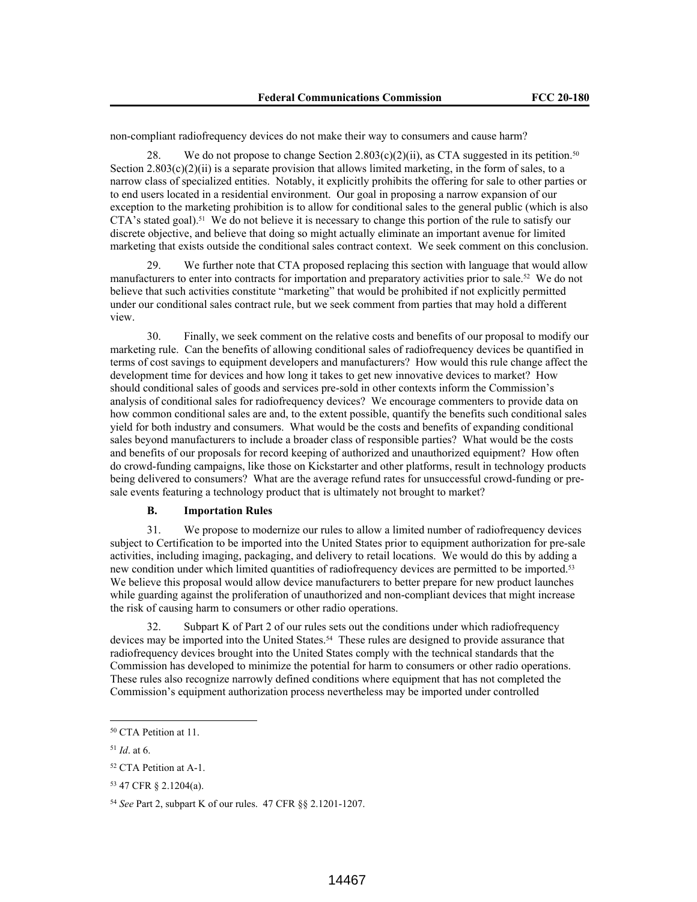non-compliant radiofrequency devices do not make their way to consumers and cause harm?

28. We do not propose to change Section 2.803(c)(2)(ii), as CTA suggested in its petition.<sup>50</sup> Section  $2.803(c)(2)(ii)$  is a separate provision that allows limited marketing, in the form of sales, to a narrow class of specialized entities. Notably, it explicitly prohibits the offering for sale to other parties or to end users located in a residential environment. Our goal in proposing a narrow expansion of our exception to the marketing prohibition is to allow for conditional sales to the general public (which is also  $CTA$ 's stated goal).<sup>51</sup> We do not believe it is necessary to change this portion of the rule to satisfy our discrete objective, and believe that doing so might actually eliminate an important avenue for limited marketing that exists outside the conditional sales contract context. We seek comment on this conclusion.

29. We further note that CTA proposed replacing this section with language that would allow manufacturers to enter into contracts for importation and preparatory activities prior to sale.52 We do not believe that such activities constitute "marketing" that would be prohibited if not explicitly permitted under our conditional sales contract rule, but we seek comment from parties that may hold a different view.

30. Finally, we seek comment on the relative costs and benefits of our proposal to modify our marketing rule. Can the benefits of allowing conditional sales of radiofrequency devices be quantified in terms of cost savings to equipment developers and manufacturers? How would this rule change affect the development time for devices and how long it takes to get new innovative devices to market? How should conditional sales of goods and services pre-sold in other contexts inform the Commission's analysis of conditional sales for radiofrequency devices? We encourage commenters to provide data on how common conditional sales are and, to the extent possible, quantify the benefits such conditional sales yield for both industry and consumers. What would be the costs and benefits of expanding conditional sales beyond manufacturers to include a broader class of responsible parties? What would be the costs and benefits of our proposals for record keeping of authorized and unauthorized equipment? How often do crowd-funding campaigns, like those on Kickstarter and other platforms, result in technology products being delivered to consumers? What are the average refund rates for unsuccessful crowd-funding or presale events featuring a technology product that is ultimately not brought to market?

#### **B. Importation Rules**

31. We propose to modernize our rules to allow a limited number of radiofrequency devices subject to Certification to be imported into the United States prior to equipment authorization for pre-sale activities, including imaging, packaging, and delivery to retail locations. We would do this by adding a new condition under which limited quantities of radiofrequency devices are permitted to be imported.<sup>53</sup> We believe this proposal would allow device manufacturers to better prepare for new product launches while guarding against the proliferation of unauthorized and non-compliant devices that might increase the risk of causing harm to consumers or other radio operations.

32. Subpart K of Part 2 of our rules sets out the conditions under which radiofrequency devices may be imported into the United States.54 These rules are designed to provide assurance that radiofrequency devices brought into the United States comply with the technical standards that the Commission has developed to minimize the potential for harm to consumers or other radio operations. These rules also recognize narrowly defined conditions where equipment that has not completed the Commission's equipment authorization process nevertheless may be imported under controlled

<sup>50</sup> CTA Petition at 11.

<sup>51</sup> *Id*. at 6.

<sup>52</sup> CTA Petition at A-1.

<sup>53</sup> 47 CFR § 2.1204(a).

<sup>54</sup> *See* Part 2, subpart K of our rules. 47 CFR §§ 2.1201-1207.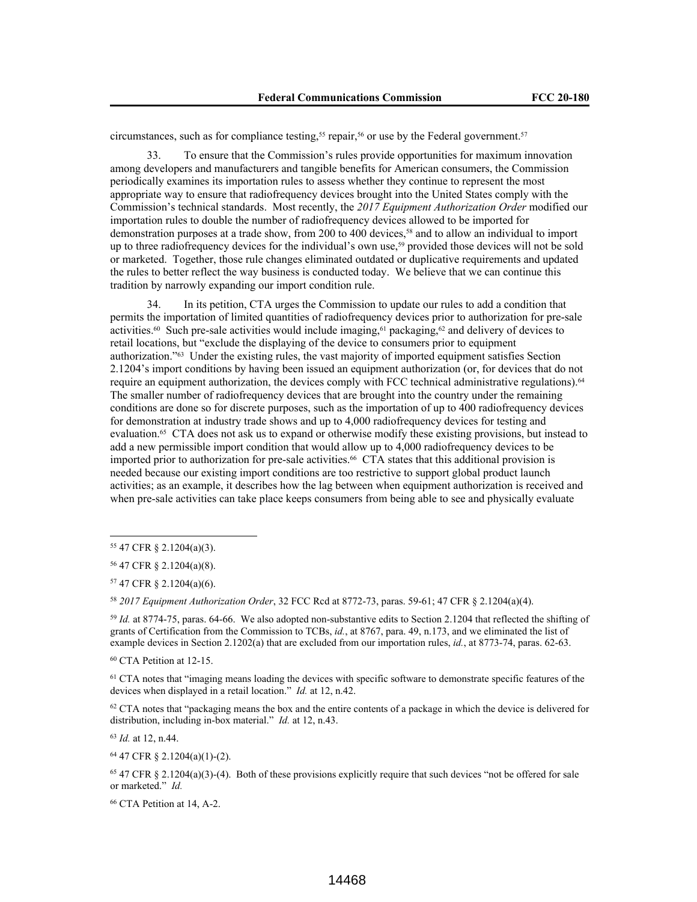circumstances, such as for compliance testing,<sup>55</sup> repair,<sup>56</sup> or use by the Federal government.<sup>57</sup>

33. To ensure that the Commission's rules provide opportunities for maximum innovation among developers and manufacturers and tangible benefits for American consumers, the Commission periodically examines its importation rules to assess whether they continue to represent the most appropriate way to ensure that radiofrequency devices brought into the United States comply with the Commission's technical standards. Most recently, the *2017 Equipment Authorization Order* modified our importation rules to double the number of radiofrequency devices allowed to be imported for demonstration purposes at a trade show, from 200 to 400 devices,58 and to allow an individual to import up to three radiofrequency devices for the individual's own use,<sup>59</sup> provided those devices will not be sold or marketed. Together, those rule changes eliminated outdated or duplicative requirements and updated the rules to better reflect the way business is conducted today. We believe that we can continue this tradition by narrowly expanding our import condition rule.

34. In its petition, CTA urges the Commission to update our rules to add a condition that permits the importation of limited quantities of radiofrequency devices prior to authorization for pre-sale activities.<sup>60</sup> Such pre-sale activities would include imaging,<sup>61</sup> packaging,<sup>62</sup> and delivery of devices to retail locations, but "exclude the displaying of the device to consumers prior to equipment authorization."63 Under the existing rules, the vast majority of imported equipment satisfies Section 2.1204's import conditions by having been issued an equipment authorization (or, for devices that do not require an equipment authorization, the devices comply with FCC technical administrative regulations).<sup>64</sup> The smaller number of radiofrequency devices that are brought into the country under the remaining conditions are done so for discrete purposes, such as the importation of up to 400 radiofrequency devices for demonstration at industry trade shows and up to 4,000 radiofrequency devices for testing and evaluation.65 CTA does not ask us to expand or otherwise modify these existing provisions, but instead to add a new permissible import condition that would allow up to 4,000 radiofrequency devices to be imported prior to authorization for pre-sale activities.66 CTA states that this additional provision is needed because our existing import conditions are too restrictive to support global product launch activities; as an example, it describes how the lag between when equipment authorization is received and when pre-sale activities can take place keeps consumers from being able to see and physically evaluate

<sup>57</sup> 47 CFR § 2.1204(a)(6).

<sup>58</sup> *2017 Equipment Authorization Order*, 32 FCC Rcd at 8772-73, paras. 59-61; 47 CFR § 2.1204(a)(4).

<sup>59</sup> *Id.* at 8774-75, paras. 64-66. We also adopted non-substantive edits to Section 2.1204 that reflected the shifting of grants of Certification from the Commission to TCBs, *id.*, at 8767, para. 49, n.173, and we eliminated the list of example devices in Section 2.1202(a) that are excluded from our importation rules, *id.*, at 8773-74, paras. 62-63.

<sup>60</sup> CTA Petition at 12-15.

<sup>61</sup> CTA notes that "imaging means loading the devices with specific software to demonstrate specific features of the devices when displayed in a retail location." *Id.* at 12, n.42.

<sup>62</sup> CTA notes that "packaging means the box and the entire contents of a package in which the device is delivered for distribution, including in-box material." *Id.* at 12, n.43.

<sup>63</sup> *Id.* at 12, n.44.

<sup>64</sup> 47 CFR § 2.1204(a)(1)-(2).

 $65$  47 CFR  $\S$  2.1204(a)(3)-(4). Both of these provisions explicitly require that such devices "not be offered for sale or marketed." *Id.*

<sup>66</sup> CTA Petition at 14, A-2.

<sup>55</sup> 47 CFR § 2.1204(a)(3).

<sup>56</sup> 47 CFR § 2.1204(a)(8).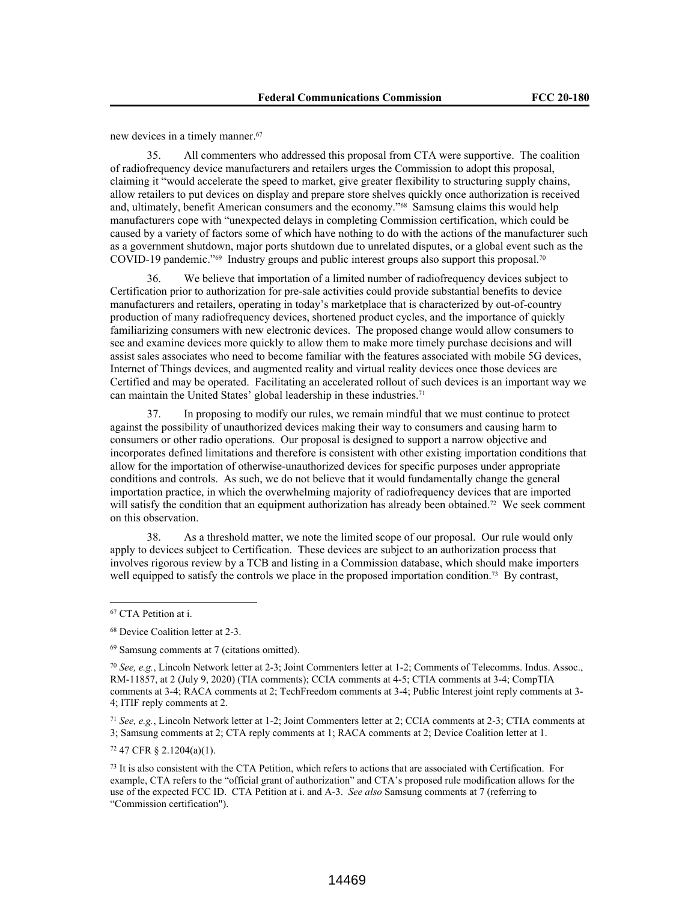new devices in a timely manner.<sup>67</sup>

35. All commenters who addressed this proposal from CTA were supportive. The coalition of radiofrequency device manufacturers and retailers urges the Commission to adopt this proposal, claiming it "would accelerate the speed to market, give greater flexibility to structuring supply chains, allow retailers to put devices on display and prepare store shelves quickly once authorization is received and, ultimately, benefit American consumers and the economy."<sup>68</sup> Samsung claims this would help manufacturers cope with "unexpected delays in completing Commission certification, which could be caused by a variety of factors some of which have nothing to do with the actions of the manufacturer such as a government shutdown, major ports shutdown due to unrelated disputes, or a global event such as the COVID-19 pandemic."69 Industry groups and public interest groups also support this proposal.<sup>70</sup>

36. We believe that importation of a limited number of radiofrequency devices subject to Certification prior to authorization for pre-sale activities could provide substantial benefits to device manufacturers and retailers, operating in today's marketplace that is characterized by out-of-country production of many radiofrequency devices, shortened product cycles, and the importance of quickly familiarizing consumers with new electronic devices. The proposed change would allow consumers to see and examine devices more quickly to allow them to make more timely purchase decisions and will assist sales associates who need to become familiar with the features associated with mobile 5G devices, Internet of Things devices, and augmented reality and virtual reality devices once those devices are Certified and may be operated. Facilitating an accelerated rollout of such devices is an important way we can maintain the United States' global leadership in these industries.<sup>71</sup>

37. In proposing to modify our rules, we remain mindful that we must continue to protect against the possibility of unauthorized devices making their way to consumers and causing harm to consumers or other radio operations. Our proposal is designed to support a narrow objective and incorporates defined limitations and therefore is consistent with other existing importation conditions that allow for the importation of otherwise-unauthorized devices for specific purposes under appropriate conditions and controls. As such, we do not believe that it would fundamentally change the general importation practice, in which the overwhelming majority of radiofrequency devices that are imported will satisfy the condition that an equipment authorization has already been obtained.<sup>72</sup> We seek comment on this observation.

38. As a threshold matter, we note the limited scope of our proposal. Our rule would only apply to devices subject to Certification. These devices are subject to an authorization process that involves rigorous review by a TCB and listing in a Commission database, which should make importers well equipped to satisfy the controls we place in the proposed importation condition.<sup>73</sup> By contrast,

<sup>71</sup> *See, e.g.*, Lincoln Network letter at 1-2; Joint Commenters letter at 2; CCIA comments at 2-3; CTIA comments at 3; Samsung comments at 2; CTA reply comments at 1; RACA comments at 2; Device Coalition letter at 1.

<sup>72</sup> 47 CFR § 2.1204(a)(1).

<sup>73</sup> It is also consistent with the CTA Petition, which refers to actions that are associated with Certification. For example, CTA refers to the "official grant of authorization" and CTA's proposed rule modification allows for the use of the expected FCC ID. CTA Petition at i. and A-3. *See also* Samsung comments at 7 (referring to "Commission certification").

<sup>67</sup> CTA Petition at i.

<sup>68</sup> Device Coalition letter at 2-3.

<sup>69</sup> Samsung comments at 7 (citations omitted).

<sup>70</sup> *See, e.g.*, Lincoln Network letter at 2-3; Joint Commenters letter at 1-2; Comments of Telecomms. Indus. Assoc., RM-11857, at 2 (July 9, 2020) (TIA comments); CCIA comments at 4-5; CTIA comments at 3-4; CompTIA comments at 3-4; RACA comments at 2; TechFreedom comments at 3-4; Public Interest joint reply comments at 3- 4; ITIF reply comments at 2.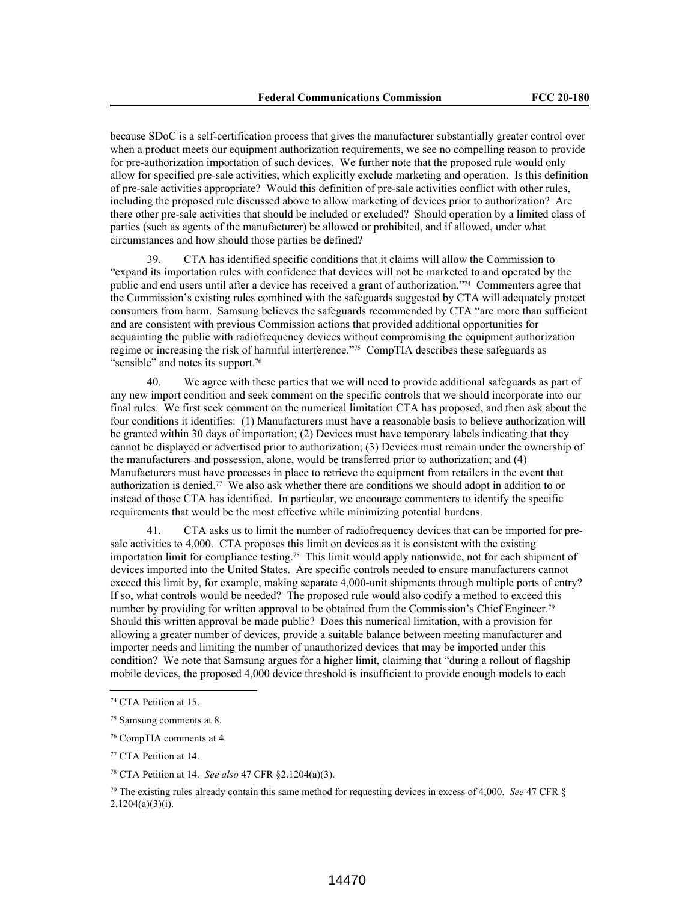because SDoC is a self-certification process that gives the manufacturer substantially greater control over when a product meets our equipment authorization requirements, we see no compelling reason to provide for pre-authorization importation of such devices. We further note that the proposed rule would only allow for specified pre-sale activities, which explicitly exclude marketing and operation. Is this definition of pre-sale activities appropriate? Would this definition of pre-sale activities conflict with other rules, including the proposed rule discussed above to allow marketing of devices prior to authorization? Are there other pre-sale activities that should be included or excluded? Should operation by a limited class of parties (such as agents of the manufacturer) be allowed or prohibited, and if allowed, under what circumstances and how should those parties be defined?

39. CTA has identified specific conditions that it claims will allow the Commission to "expand its importation rules with confidence that devices will not be marketed to and operated by the public and end users until after a device has received a grant of authorization."74 Commenters agree that the Commission's existing rules combined with the safeguards suggested by CTA will adequately protect consumers from harm. Samsung believes the safeguards recommended by CTA "are more than sufficient and are consistent with previous Commission actions that provided additional opportunities for acquainting the public with radiofrequency devices without compromising the equipment authorization regime or increasing the risk of harmful interference."75 CompTIA describes these safeguards as "sensible" and notes its support.<sup>76</sup>

We agree with these parties that we will need to provide additional safeguards as part of any new import condition and seek comment on the specific controls that we should incorporate into our final rules. We first seek comment on the numerical limitation CTA has proposed, and then ask about the four conditions it identifies: (1) Manufacturers must have a reasonable basis to believe authorization will be granted within 30 days of importation; (2) Devices must have temporary labels indicating that they cannot be displayed or advertised prior to authorization; (3) Devices must remain under the ownership of the manufacturers and possession, alone, would be transferred prior to authorization; and (4) Manufacturers must have processes in place to retrieve the equipment from retailers in the event that authorization is denied.77 We also ask whether there are conditions we should adopt in addition to or instead of those CTA has identified. In particular, we encourage commenters to identify the specific requirements that would be the most effective while minimizing potential burdens.

41. CTA asks us to limit the number of radiofrequency devices that can be imported for presale activities to 4,000. CTA proposes this limit on devices as it is consistent with the existing importation limit for compliance testing.78 This limit would apply nationwide, not for each shipment of devices imported into the United States. Are specific controls needed to ensure manufacturers cannot exceed this limit by, for example, making separate 4,000-unit shipments through multiple ports of entry? If so, what controls would be needed? The proposed rule would also codify a method to exceed this number by providing for written approval to be obtained from the Commission's Chief Engineer.<sup>79</sup> Should this written approval be made public? Does this numerical limitation, with a provision for allowing a greater number of devices, provide a suitable balance between meeting manufacturer and importer needs and limiting the number of unauthorized devices that may be imported under this condition? We note that Samsung argues for a higher limit, claiming that "during a rollout of flagship mobile devices, the proposed 4,000 device threshold is insufficient to provide enough models to each

<sup>74</sup> CTA Petition at 15.

<sup>75</sup> Samsung comments at 8.

<sup>76</sup> CompTIA comments at 4.

<sup>77</sup> CTA Petition at 14.

<sup>78</sup> CTA Petition at 14. *See also* 47 CFR §2.1204(a)(3).

<sup>79</sup> The existing rules already contain this same method for requesting devices in excess of 4,000. *See* 47 CFR §  $2.1204(a)(3)(i)$ .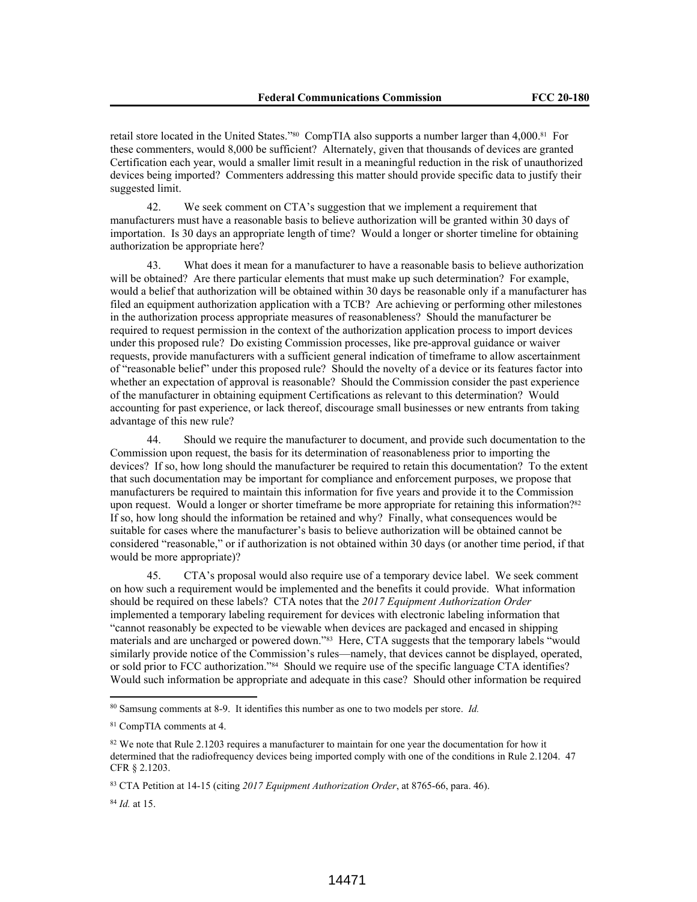retail store located in the United States."80 CompTIA also supports a number larger than 4,000.81 For these commenters, would 8,000 be sufficient? Alternately, given that thousands of devices are granted Certification each year, would a smaller limit result in a meaningful reduction in the risk of unauthorized devices being imported? Commenters addressing this matter should provide specific data to justify their suggested limit.

42. We seek comment on CTA's suggestion that we implement a requirement that manufacturers must have a reasonable basis to believe authorization will be granted within 30 days of importation. Is 30 days an appropriate length of time? Would a longer or shorter timeline for obtaining authorization be appropriate here?

43. What does it mean for a manufacturer to have a reasonable basis to believe authorization will be obtained? Are there particular elements that must make up such determination? For example, would a belief that authorization will be obtained within 30 days be reasonable only if a manufacturer has filed an equipment authorization application with a TCB? Are achieving or performing other milestones in the authorization process appropriate measures of reasonableness? Should the manufacturer be required to request permission in the context of the authorization application process to import devices under this proposed rule? Do existing Commission processes, like pre-approval guidance or waiver requests, provide manufacturers with a sufficient general indication of timeframe to allow ascertainment of "reasonable belief" under this proposed rule? Should the novelty of a device or its features factor into whether an expectation of approval is reasonable? Should the Commission consider the past experience of the manufacturer in obtaining equipment Certifications as relevant to this determination? Would accounting for past experience, or lack thereof, discourage small businesses or new entrants from taking advantage of this new rule?

44. Should we require the manufacturer to document, and provide such documentation to the Commission upon request, the basis for its determination of reasonableness prior to importing the devices? If so, how long should the manufacturer be required to retain this documentation? To the extent that such documentation may be important for compliance and enforcement purposes, we propose that manufacturers be required to maintain this information for five years and provide it to the Commission upon request. Would a longer or shorter timeframe be more appropriate for retaining this information?<sup>82</sup> If so, how long should the information be retained and why? Finally, what consequences would be suitable for cases where the manufacturer's basis to believe authorization will be obtained cannot be considered "reasonable," or if authorization is not obtained within 30 days (or another time period, if that would be more appropriate)?

45. CTA's proposal would also require use of a temporary device label. We seek comment on how such a requirement would be implemented and the benefits it could provide. What information should be required on these labels? CTA notes that the *2017 Equipment Authorization Order*  implemented a temporary labeling requirement for devices with electronic labeling information that "cannot reasonably be expected to be viewable when devices are packaged and encased in shipping materials and are uncharged or powered down."83 Here, CTA suggests that the temporary labels "would similarly provide notice of the Commission's rules—namely, that devices cannot be displayed, operated, or sold prior to FCC authorization."84 Should we require use of the specific language CTA identifies? Would such information be appropriate and adequate in this case? Should other information be required

<sup>84</sup> *Id.* at 15.

<sup>80</sup> Samsung comments at 8-9. It identifies this number as one to two models per store. *Id.*

<sup>81</sup> CompTIA comments at 4.

<sup>82</sup> We note that Rule 2.1203 requires a manufacturer to maintain for one year the documentation for how it determined that the radiofrequency devices being imported comply with one of the conditions in Rule 2.1204. 47 CFR § 2.1203.

<sup>83</sup> CTA Petition at 14-15 (citing *2017 Equipment Authorization Order*, at 8765-66, para. 46).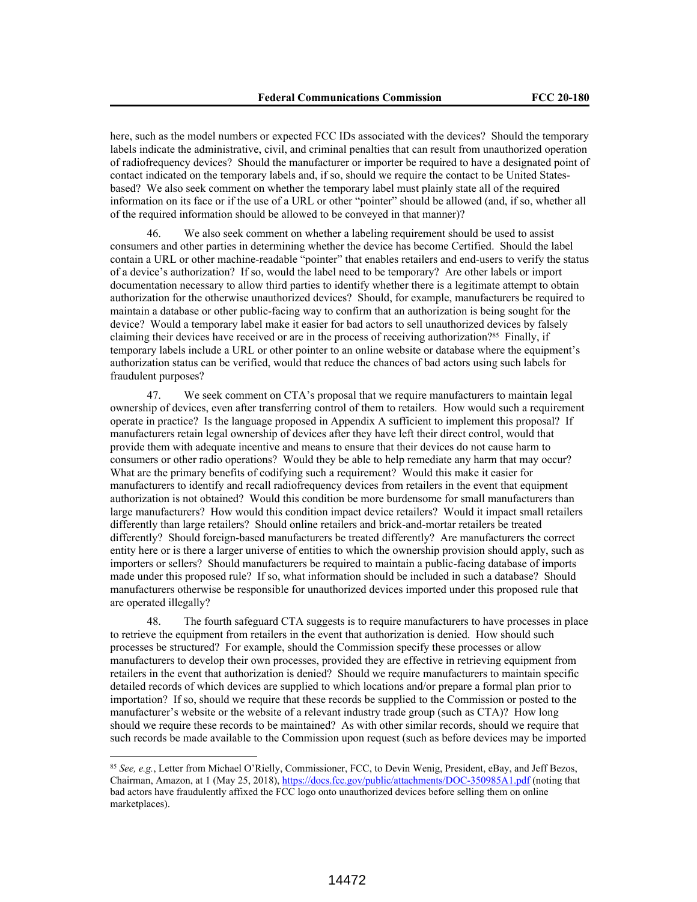here, such as the model numbers or expected FCC IDs associated with the devices? Should the temporary labels indicate the administrative, civil, and criminal penalties that can result from unauthorized operation of radiofrequency devices? Should the manufacturer or importer be required to have a designated point of contact indicated on the temporary labels and, if so, should we require the contact to be United Statesbased? We also seek comment on whether the temporary label must plainly state all of the required information on its face or if the use of a URL or other "pointer" should be allowed (and, if so, whether all of the required information should be allowed to be conveyed in that manner)?

46. We also seek comment on whether a labeling requirement should be used to assist consumers and other parties in determining whether the device has become Certified. Should the label contain a URL or other machine-readable "pointer" that enables retailers and end-users to verify the status of a device's authorization? If so, would the label need to be temporary? Are other labels or import documentation necessary to allow third parties to identify whether there is a legitimate attempt to obtain authorization for the otherwise unauthorized devices? Should, for example, manufacturers be required to maintain a database or other public-facing way to confirm that an authorization is being sought for the device? Would a temporary label make it easier for bad actors to sell unauthorized devices by falsely claiming their devices have received or are in the process of receiving authorization?<sup>85</sup> Finally, if temporary labels include a URL or other pointer to an online website or database where the equipment's authorization status can be verified, would that reduce the chances of bad actors using such labels for fraudulent purposes?

47. We seek comment on CTA's proposal that we require manufacturers to maintain legal ownership of devices, even after transferring control of them to retailers. How would such a requirement operate in practice? Is the language proposed in Appendix A sufficient to implement this proposal? If manufacturers retain legal ownership of devices after they have left their direct control, would that provide them with adequate incentive and means to ensure that their devices do not cause harm to consumers or other radio operations? Would they be able to help remediate any harm that may occur? What are the primary benefits of codifying such a requirement? Would this make it easier for manufacturers to identify and recall radiofrequency devices from retailers in the event that equipment authorization is not obtained? Would this condition be more burdensome for small manufacturers than large manufacturers? How would this condition impact device retailers? Would it impact small retailers differently than large retailers? Should online retailers and brick-and-mortar retailers be treated differently? Should foreign-based manufacturers be treated differently? Are manufacturers the correct entity here or is there a larger universe of entities to which the ownership provision should apply, such as importers or sellers? Should manufacturers be required to maintain a public-facing database of imports made under this proposed rule? If so, what information should be included in such a database? Should manufacturers otherwise be responsible for unauthorized devices imported under this proposed rule that are operated illegally?

48. The fourth safeguard CTA suggests is to require manufacturers to have processes in place to retrieve the equipment from retailers in the event that authorization is denied. How should such processes be structured? For example, should the Commission specify these processes or allow manufacturers to develop their own processes, provided they are effective in retrieving equipment from retailers in the event that authorization is denied? Should we require manufacturers to maintain specific detailed records of which devices are supplied to which locations and/or prepare a formal plan prior to importation? If so, should we require that these records be supplied to the Commission or posted to the manufacturer's website or the website of a relevant industry trade group (such as CTA)? How long should we require these records to be maintained? As with other similar records, should we require that such records be made available to the Commission upon request (such as before devices may be imported

<sup>85</sup> *See, e.g.*, Letter from Michael O'Rielly, Commissioner, FCC, to Devin Wenig, President, eBay, and Jeff Bezos, Chairman, Amazon, at 1 (May 25, 2018), https://docs.fcc.gov/public/attachments/DOC-350985A1.pdf (noting that bad actors have fraudulently affixed the FCC logo onto unauthorized devices before selling them on online marketplaces).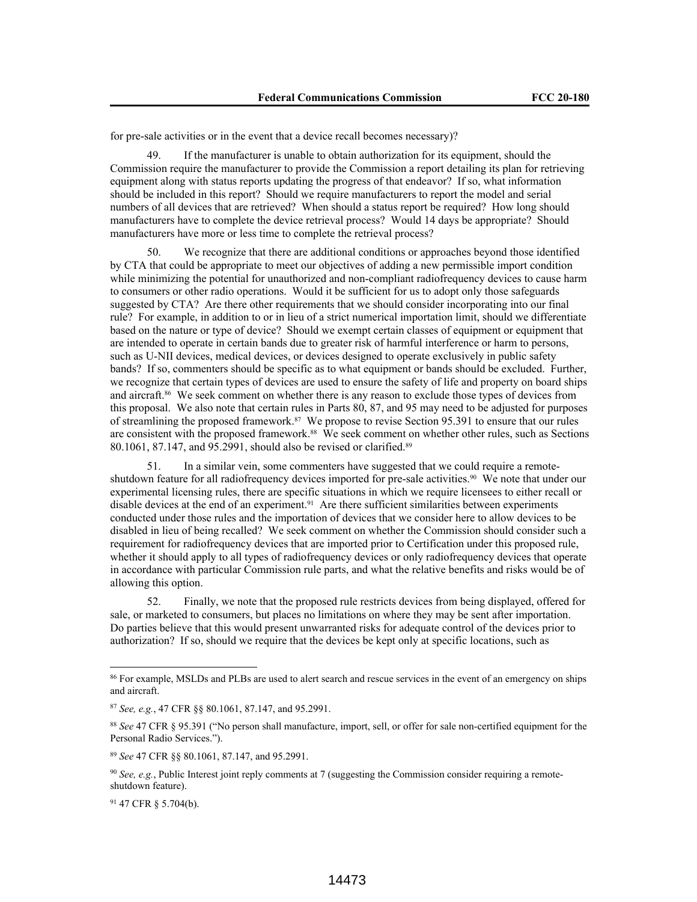for pre-sale activities or in the event that a device recall becomes necessary)?

49. If the manufacturer is unable to obtain authorization for its equipment, should the Commission require the manufacturer to provide the Commission a report detailing its plan for retrieving equipment along with status reports updating the progress of that endeavor? If so, what information should be included in this report? Should we require manufacturers to report the model and serial numbers of all devices that are retrieved? When should a status report be required? How long should manufacturers have to complete the device retrieval process? Would 14 days be appropriate? Should manufacturers have more or less time to complete the retrieval process?

50. We recognize that there are additional conditions or approaches beyond those identified by CTA that could be appropriate to meet our objectives of adding a new permissible import condition while minimizing the potential for unauthorized and non-compliant radiofrequency devices to cause harm to consumers or other radio operations. Would it be sufficient for us to adopt only those safeguards suggested by CTA? Are there other requirements that we should consider incorporating into our final rule? For example, in addition to or in lieu of a strict numerical importation limit, should we differentiate based on the nature or type of device? Should we exempt certain classes of equipment or equipment that are intended to operate in certain bands due to greater risk of harmful interference or harm to persons, such as U-NII devices, medical devices, or devices designed to operate exclusively in public safety bands? If so, commenters should be specific as to what equipment or bands should be excluded. Further, we recognize that certain types of devices are used to ensure the safety of life and property on board ships and aircraft.86 We seek comment on whether there is any reason to exclude those types of devices from this proposal. We also note that certain rules in Parts 80, 87, and 95 may need to be adjusted for purposes of streamlining the proposed framework.87 We propose to revise Section 95.391 to ensure that our rules are consistent with the proposed framework.<sup>88</sup> We seek comment on whether other rules, such as Sections 80.1061, 87.147, and 95.2991, should also be revised or clarified.<sup>89</sup>

51. In a similar vein, some commenters have suggested that we could require a remoteshutdown feature for all radiofrequency devices imported for pre-sale activities.<sup>90</sup> We note that under our experimental licensing rules, there are specific situations in which we require licensees to either recall or disable devices at the end of an experiment.<sup>91</sup> Are there sufficient similarities between experiments conducted under those rules and the importation of devices that we consider here to allow devices to be disabled in lieu of being recalled? We seek comment on whether the Commission should consider such a requirement for radiofrequency devices that are imported prior to Certification under this proposed rule, whether it should apply to all types of radiofrequency devices or only radiofrequency devices that operate in accordance with particular Commission rule parts, and what the relative benefits and risks would be of allowing this option.

52. Finally, we note that the proposed rule restricts devices from being displayed, offered for sale, or marketed to consumers, but places no limitations on where they may be sent after importation. Do parties believe that this would present unwarranted risks for adequate control of the devices prior to authorization? If so, should we require that the devices be kept only at specific locations, such as

<sup>&</sup>lt;sup>86</sup> For example, MSLDs and PLBs are used to alert search and rescue services in the event of an emergency on ships and aircraft.

<sup>87</sup> *See, e.g.*, 47 CFR §§ 80.1061, 87.147, and 95.2991.

<sup>88</sup> *See* 47 CFR § 95.391 ("No person shall manufacture, import, sell, or offer for sale non-certified equipment for the Personal Radio Services.").

<sup>89</sup> *See* 47 CFR §§ 80.1061, 87.147, and 95.2991.

<sup>&</sup>lt;sup>90</sup> *See, e.g.*, Public Interest joint reply comments at 7 (suggesting the Commission consider requiring a remoteshutdown feature).

<sup>91</sup> 47 CFR § 5.704(b).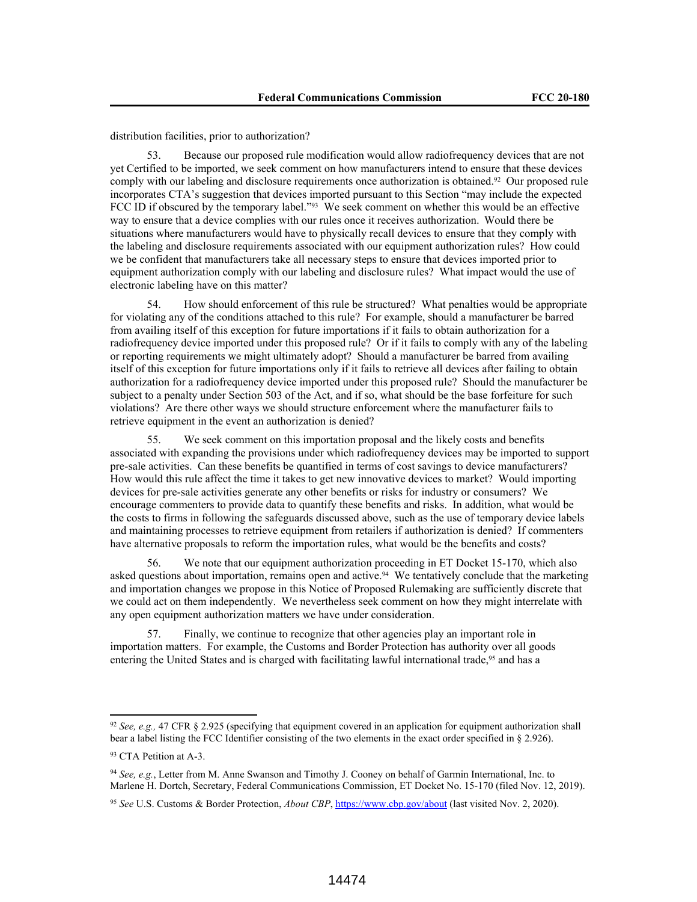distribution facilities, prior to authorization?

53. Because our proposed rule modification would allow radiofrequency devices that are not yet Certified to be imported, we seek comment on how manufacturers intend to ensure that these devices comply with our labeling and disclosure requirements once authorization is obtained.<sup>92</sup> Our proposed rule incorporates CTA's suggestion that devices imported pursuant to this Section "may include the expected FCC ID if obscured by the temporary label."<sup>93</sup> We seek comment on whether this would be an effective way to ensure that a device complies with our rules once it receives authorization. Would there be situations where manufacturers would have to physically recall devices to ensure that they comply with the labeling and disclosure requirements associated with our equipment authorization rules? How could we be confident that manufacturers take all necessary steps to ensure that devices imported prior to equipment authorization comply with our labeling and disclosure rules? What impact would the use of electronic labeling have on this matter?

54. How should enforcement of this rule be structured? What penalties would be appropriate for violating any of the conditions attached to this rule? For example, should a manufacturer be barred from availing itself of this exception for future importations if it fails to obtain authorization for a radiofrequency device imported under this proposed rule? Or if it fails to comply with any of the labeling or reporting requirements we might ultimately adopt? Should a manufacturer be barred from availing itself of this exception for future importations only if it fails to retrieve all devices after failing to obtain authorization for a radiofrequency device imported under this proposed rule? Should the manufacturer be subject to a penalty under Section 503 of the Act, and if so, what should be the base forfeiture for such violations? Are there other ways we should structure enforcement where the manufacturer fails to retrieve equipment in the event an authorization is denied?

55. We seek comment on this importation proposal and the likely costs and benefits associated with expanding the provisions under which radiofrequency devices may be imported to support pre-sale activities. Can these benefits be quantified in terms of cost savings to device manufacturers? How would this rule affect the time it takes to get new innovative devices to market? Would importing devices for pre-sale activities generate any other benefits or risks for industry or consumers? We encourage commenters to provide data to quantify these benefits and risks. In addition, what would be the costs to firms in following the safeguards discussed above, such as the use of temporary device labels and maintaining processes to retrieve equipment from retailers if authorization is denied? If commenters have alternative proposals to reform the importation rules, what would be the benefits and costs?

56. We note that our equipment authorization proceeding in ET Docket 15-170, which also asked questions about importation, remains open and active.<sup>94</sup> We tentatively conclude that the marketing and importation changes we propose in this Notice of Proposed Rulemaking are sufficiently discrete that we could act on them independently. We nevertheless seek comment on how they might interrelate with any open equipment authorization matters we have under consideration.

57. Finally, we continue to recognize that other agencies play an important role in importation matters. For example, the Customs and Border Protection has authority over all goods entering the United States and is charged with facilitating lawful international trade,<sup>95</sup> and has a

<sup>92</sup> *See, e.g.,* 47 CFR § 2.925 (specifying that equipment covered in an application for equipment authorization shall bear a label listing the FCC Identifier consisting of the two elements in the exact order specified in § 2.926).

<sup>&</sup>lt;sup>93</sup> CTA Petition at A-3.

<sup>94</sup> *See, e.g.*, Letter from M. Anne Swanson and Timothy J. Cooney on behalf of Garmin International, Inc. to Marlene H. Dortch, Secretary, Federal Communications Commission, ET Docket No. 15-170 (filed Nov. 12, 2019).

<sup>95</sup> *See* U.S. Customs & Border Protection, *About CBP*, https://www.cbp.gov/about (last visited Nov. 2, 2020).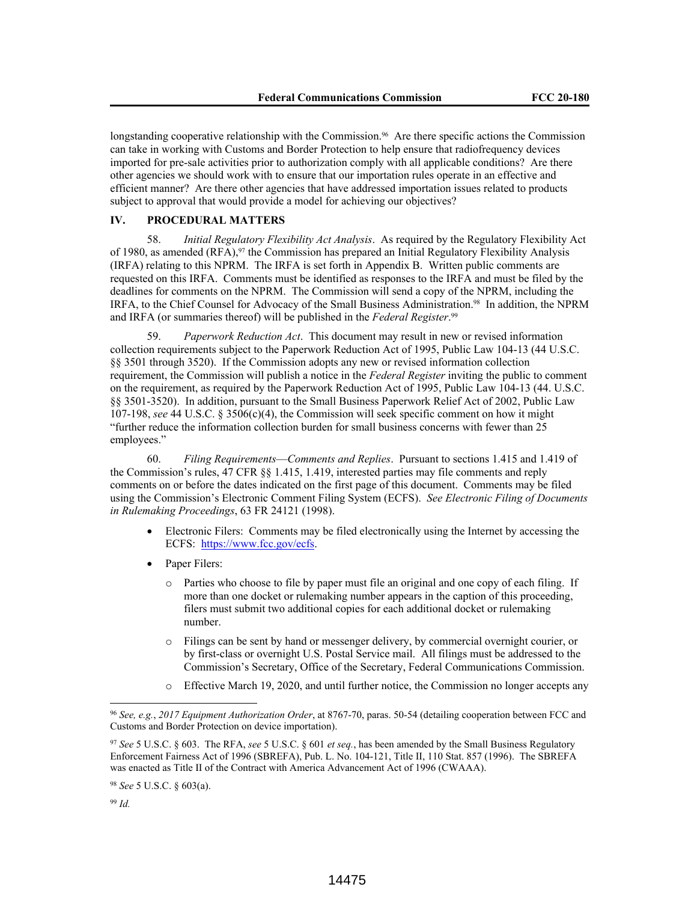longstanding cooperative relationship with the Commission.<sup>96</sup> Are there specific actions the Commission can take in working with Customs and Border Protection to help ensure that radiofrequency devices imported for pre-sale activities prior to authorization comply with all applicable conditions? Are there other agencies we should work with to ensure that our importation rules operate in an effective and efficient manner? Are there other agencies that have addressed importation issues related to products subject to approval that would provide a model for achieving our objectives?

# **IV. PROCEDURAL MATTERS**

58. *Initial Regulatory Flexibility Act Analysis*. As required by the Regulatory Flexibility Act of 1980, as amended (RFA).<sup>97</sup> the Commission has prepared an Initial Regulatory Flexibility Analysis (IRFA) relating to this NPRM. The IRFA is set forth in Appendix B. Written public comments are requested on this IRFA. Comments must be identified as responses to the IRFA and must be filed by the deadlines for comments on the NPRM. The Commission will send a copy of the NPRM, including the IRFA, to the Chief Counsel for Advocacy of the Small Business Administration.98 In addition, the NPRM and IRFA (or summaries thereof) will be published in the *Federal Register*. 99

59. *Paperwork Reduction Act*. This document may result in new or revised information collection requirements subject to the Paperwork Reduction Act of 1995, Public Law 104-13 (44 U.S.C. §§ 3501 through 3520). If the Commission adopts any new or revised information collection requirement, the Commission will publish a notice in the *Federal Register* inviting the public to comment on the requirement, as required by the Paperwork Reduction Act of 1995, Public Law 104-13 (44. U.S.C. §§ 3501-3520). In addition, pursuant to the Small Business Paperwork Relief Act of 2002, Public Law 107-198, *see* 44 U.S.C. § 3506(c)(4), the Commission will seek specific comment on how it might "further reduce the information collection burden for small business concerns with fewer than 25 employees."

60. *Filing Requirements*—*Comments and Replies*. Pursuant to sections 1.415 and 1.419 of the Commission's rules, 47 CFR §§ 1.415, 1.419, interested parties may file comments and reply comments on or before the dates indicated on the first page of this document. Comments may be filed using the Commission's Electronic Comment Filing System (ECFS). *See Electronic Filing of Documents in Rulemaking Proceedings*, 63 FR 24121 (1998).

- Electronic Filers: Comments may be filed electronically using the Internet by accessing the ECFS: https://www.fcc.gov/ecfs.
- Paper Filers:
	- o Parties who choose to file by paper must file an original and one copy of each filing. If more than one docket or rulemaking number appears in the caption of this proceeding, filers must submit two additional copies for each additional docket or rulemaking number.
	- o Filings can be sent by hand or messenger delivery, by commercial overnight courier, or by first-class or overnight U.S. Postal Service mail. All filings must be addressed to the Commission's Secretary, Office of the Secretary, Federal Communications Commission.
	- Effective March 19, 2020, and until further notice, the Commission no longer accepts any

<sup>99</sup> *Id.*

<sup>96</sup> *See, e.g.*, *2017 Equipment Authorization Order*, at 8767-70, paras. 50-54 (detailing cooperation between FCC and Customs and Border Protection on device importation).

<sup>97</sup> *See* 5 U.S.C. § 603. The RFA, *see* 5 U.S.C. § 601 *et seq.*, has been amended by the Small Business Regulatory Enforcement Fairness Act of 1996 (SBREFA), Pub. L. No. 104-121, Title II, 110 Stat. 857 (1996). The SBREFA was enacted as Title II of the Contract with America Advancement Act of 1996 (CWAAA).

<sup>98</sup> *See* 5 U.S.C. § 603(a).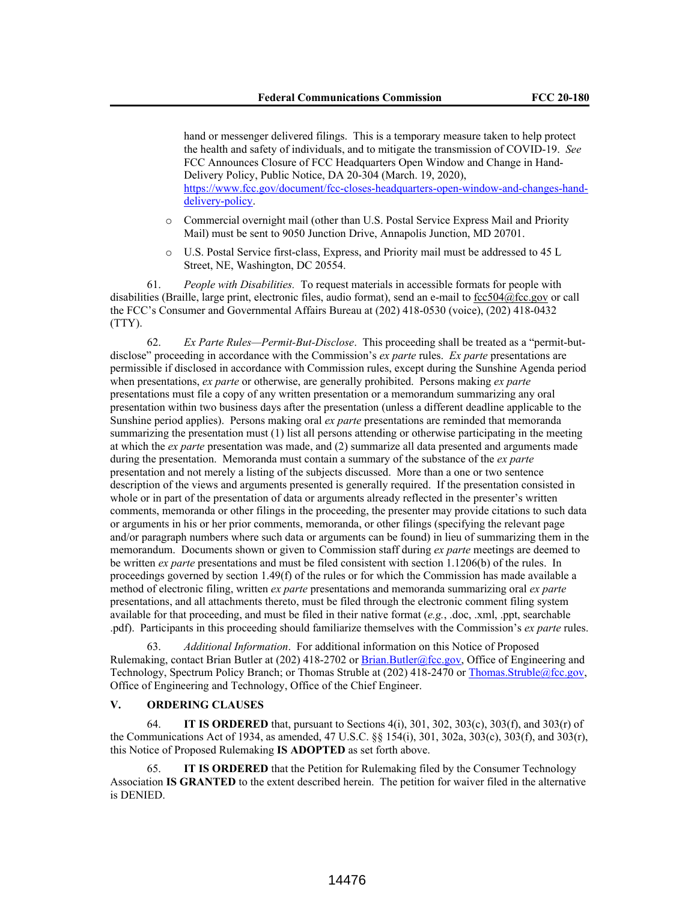hand or messenger delivered filings. This is a temporary measure taken to help protect the health and safety of individuals, and to mitigate the transmission of COVID-19. *See*  FCC Announces Closure of FCC Headquarters Open Window and Change in Hand-Delivery Policy, Public Notice, DA 20-304 (March. 19, 2020), https://www.fcc.gov/document/fcc-closes-headquarters-open-window-and-changes-handdelivery-policy.

- o Commercial overnight mail (other than U.S. Postal Service Express Mail and Priority Mail) must be sent to 9050 Junction Drive, Annapolis Junction, MD 20701.
- o U.S. Postal Service first-class, Express, and Priority mail must be addressed to 45 L Street, NE, Washington, DC 20554.

61. *People with Disabilities.* To request materials in accessible formats for people with disabilities (Braille, large print, electronic files, audio format), send an e-mail to fcc504@fcc.gov or call the FCC's Consumer and Governmental Affairs Bureau at (202) 418-0530 (voice), (202) 418-0432 (TTY).

62. *Ex Parte Rules—Permit-But-Disclose*. This proceeding shall be treated as a "permit-butdisclose" proceeding in accordance with the Commission's *ex parte* rules. *Ex parte* presentations are permissible if disclosed in accordance with Commission rules, except during the Sunshine Agenda period when presentations, *ex parte* or otherwise, are generally prohibited. Persons making *ex parte* presentations must file a copy of any written presentation or a memorandum summarizing any oral presentation within two business days after the presentation (unless a different deadline applicable to the Sunshine period applies). Persons making oral *ex parte* presentations are reminded that memoranda summarizing the presentation must (1) list all persons attending or otherwise participating in the meeting at which the *ex parte* presentation was made, and (2) summarize all data presented and arguments made during the presentation. Memoranda must contain a summary of the substance of the *ex parte* presentation and not merely a listing of the subjects discussed. More than a one or two sentence description of the views and arguments presented is generally required. If the presentation consisted in whole or in part of the presentation of data or arguments already reflected in the presenter's written comments, memoranda or other filings in the proceeding, the presenter may provide citations to such data or arguments in his or her prior comments, memoranda, or other filings (specifying the relevant page and/or paragraph numbers where such data or arguments can be found) in lieu of summarizing them in the memorandum. Documents shown or given to Commission staff during *ex parte* meetings are deemed to be written *ex parte* presentations and must be filed consistent with section 1.1206(b) of the rules. In proceedings governed by section 1.49(f) of the rules or for which the Commission has made available a method of electronic filing, written *ex parte* presentations and memoranda summarizing oral *ex parte* presentations, and all attachments thereto, must be filed through the electronic comment filing system available for that proceeding, and must be filed in their native format (*e.g.*, .doc, .xml, .ppt, searchable .pdf). Participants in this proceeding should familiarize themselves with the Commission's *ex parte* rules.

63. *Additional Information*. For additional information on this Notice of Proposed Rulemaking, contact Brian Butler at (202) 418-2702 or Brian.Butler@fcc.gov, Office of Engineering and Technology, Spectrum Policy Branch; or Thomas Struble at (202) 418-2470 or Thomas.Struble@fcc.gov, Office of Engineering and Technology, Office of the Chief Engineer.

#### **V. ORDERING CLAUSES**

64. **IT IS ORDERED** that, pursuant to Sections 4(i), 301, 302, 303(c), 303(f), and 303(r) of the Communications Act of 1934, as amended, 47 U.S.C. §§ 154(i), 301, 302a, 303(c), 303(f), and 303(r), this Notice of Proposed Rulemaking **IS ADOPTED** as set forth above.

65. **IT IS ORDERED** that the Petition for Rulemaking filed by the Consumer Technology Association **IS GRANTED** to the extent described herein. The petition for waiver filed in the alternative is DENIED.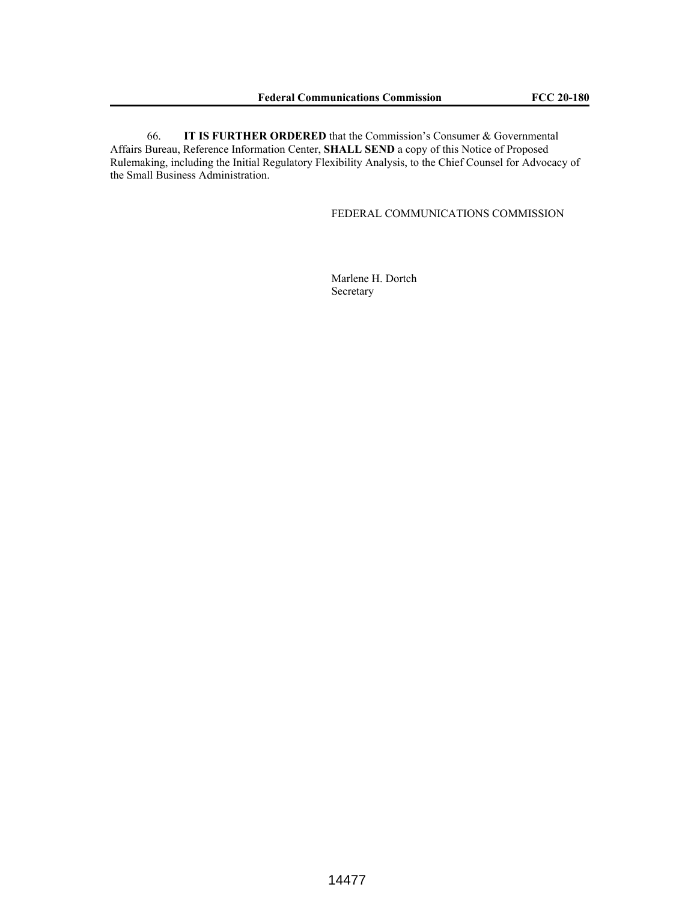66. **IT IS FURTHER ORDERED** that the Commission's Consumer & Governmental Affairs Bureau, Reference Information Center, **SHALL SEND** a copy of this Notice of Proposed Rulemaking, including the Initial Regulatory Flexibility Analysis, to the Chief Counsel for Advocacy of the Small Business Administration.

# FEDERAL COMMUNICATIONS COMMISSION

Marlene H. Dortch Secretary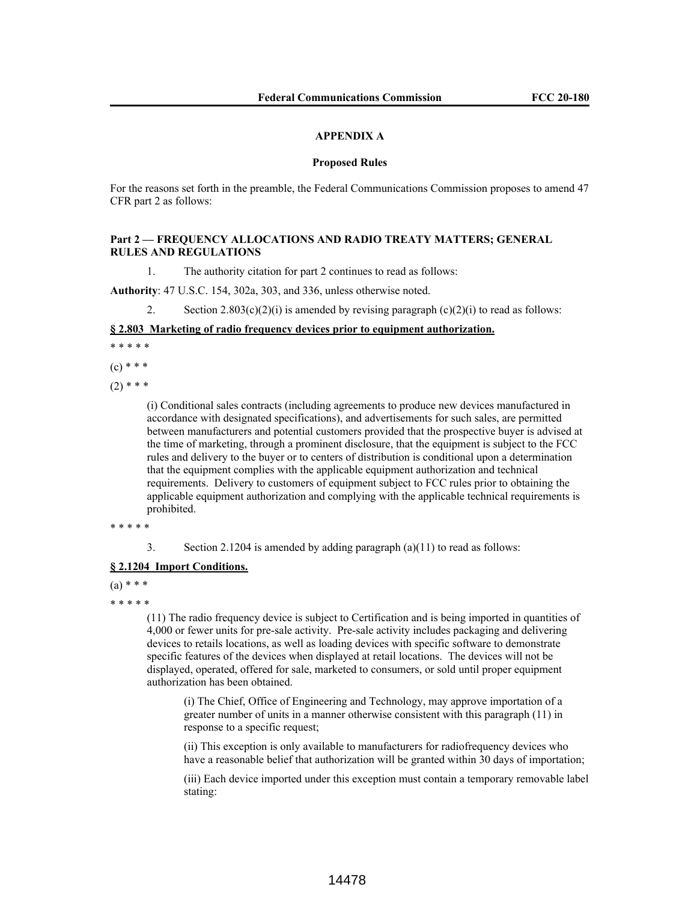## **APPENDIX A**

#### **Proposed Rules**

For the reasons set forth in the preamble, the Federal Communications Commission proposes to amend 47 CFR part 2 as follows:

## **Part 2 — FREQUENCY ALLOCATIONS AND RADIO TREATY MATTERS; GENERAL RULES AND REGULATIONS**

1. The authority citation for part 2 continues to read as follows:

**Authority**: 47 U.S.C. 154, 302a, 303, and 336, unless otherwise noted.

2. Section  $2.803(c)(2)(i)$  is amended by revising paragraph  $(c)(2)(i)$  to read as follows:

#### **§ 2.803 Marketing of radio frequency devices prior to equipment authorization.**

\* \* \* \* \*

 $(c)$  \* \* \*

 $(2)$  \* \* \*

(i) Conditional sales contracts (including agreements to produce new devices manufactured in accordance with designated specifications), and advertisements for such sales, are permitted between manufacturers and potential customers provided that the prospective buyer is advised at the time of marketing, through a prominent disclosure, that the equipment is subject to the FCC rules and delivery to the buyer or to centers of distribution is conditional upon a determination that the equipment complies with the applicable equipment authorization and technical requirements. Delivery to customers of equipment subject to FCC rules prior to obtaining the applicable equipment authorization and complying with the applicable technical requirements is prohibited.

\* \* \* \* \*

3. Section 2.1204 is amended by adding paragraph (a)(11) to read as follows:

#### **§ 2.1204 Import Conditions.**

 $(a) * * *$ 

\* \* \* \* \*

(11) The radio frequency device is subject to Certification and is being imported in quantities of 4,000 or fewer units for pre-sale activity. Pre-sale activity includes packaging and delivering devices to retails locations, as well as loading devices with specific software to demonstrate specific features of the devices when displayed at retail locations. The devices will not be displayed, operated, offered for sale, marketed to consumers, or sold until proper equipment authorization has been obtained.

(i) The Chief, Office of Engineering and Technology, may approve importation of a greater number of units in a manner otherwise consistent with this paragraph (11) in response to a specific request;

(ii) This exception is only available to manufacturers for radiofrequency devices who have a reasonable belief that authorization will be granted within 30 days of importation;

(iii) Each device imported under this exception must contain a temporary removable label stating: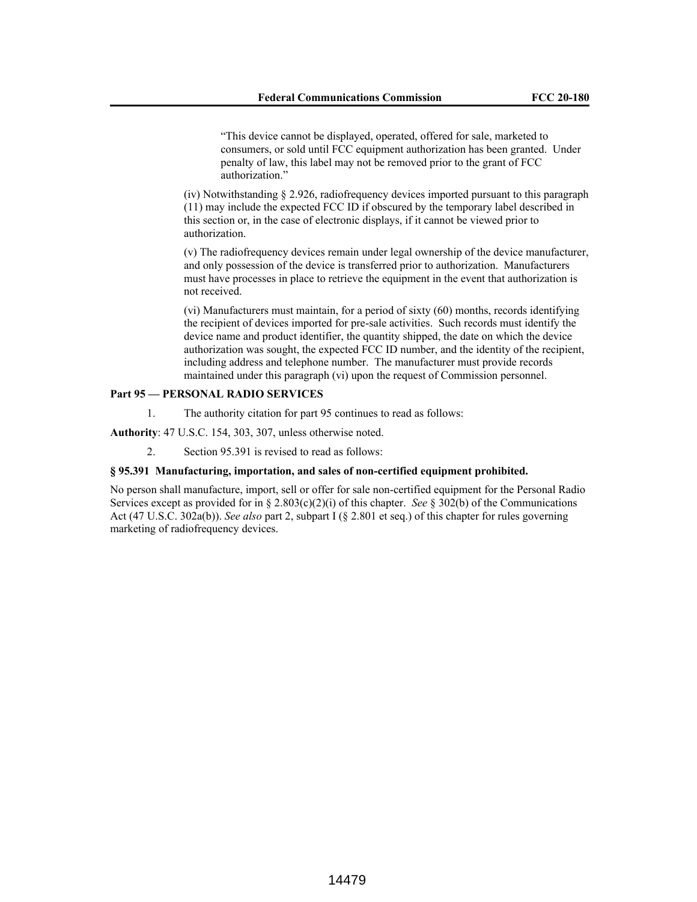"This device cannot be displayed, operated, offered for sale, marketed to consumers, or sold until FCC equipment authorization has been granted. Under penalty of law, this label may not be removed prior to the grant of FCC authorization."

(iv) Notwithstanding § 2.926, radiofrequency devices imported pursuant to this paragraph (11) may include the expected FCC ID if obscured by the temporary label described in this section or, in the case of electronic displays, if it cannot be viewed prior to authorization.

(v) The radiofrequency devices remain under legal ownership of the device manufacturer, and only possession of the device is transferred prior to authorization. Manufacturers must have processes in place to retrieve the equipment in the event that authorization is not received.

(vi) Manufacturers must maintain, for a period of sixty (60) months, records identifying the recipient of devices imported for pre-sale activities. Such records must identify the device name and product identifier, the quantity shipped, the date on which the device authorization was sought, the expected FCC ID number, and the identity of the recipient, including address and telephone number. The manufacturer must provide records maintained under this paragraph (vi) upon the request of Commission personnel.

## **Part 95 — PERSONAL RADIO SERVICES**

1. The authority citation for part 95 continues to read as follows:

**Authority**: 47 U.S.C. 154, 303, 307, unless otherwise noted.

2. Section 95.391 is revised to read as follows:

#### **§ 95.391 Manufacturing, importation, and sales of non-certified equipment prohibited.**

No person shall manufacture, import, sell or offer for sale non-certified equipment for the Personal Radio Services except as provided for in § 2.803(c)(2)(i) of this chapter. *See* § 302(b) of the Communications Act (47 U.S.C. 302a(b)). *See also* part 2, subpart I (§ 2.801 et seq.) of this chapter for rules governing marketing of radiofrequency devices.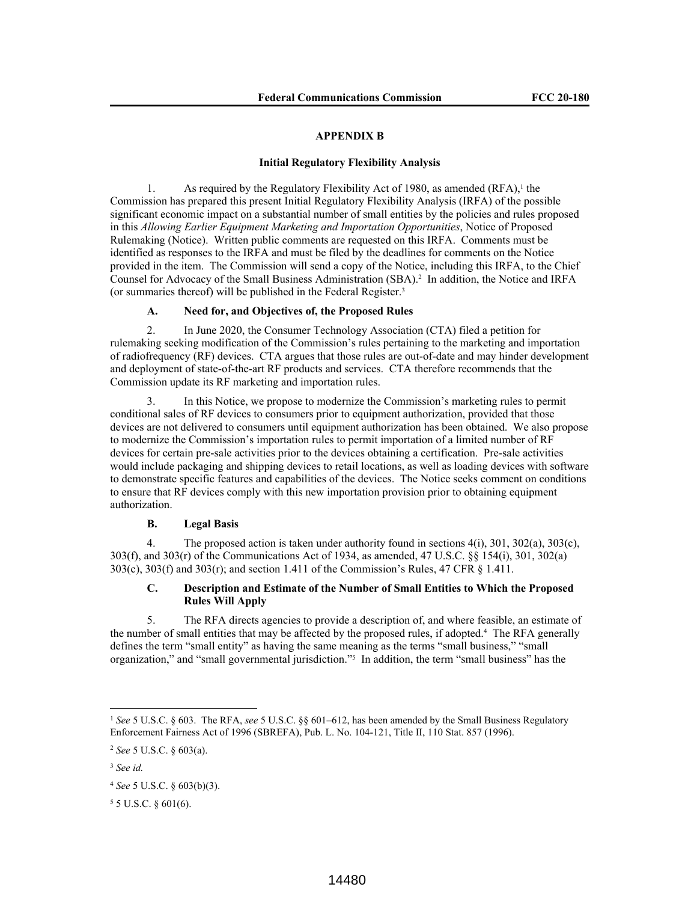#### **APPENDIX B**

#### **Initial Regulatory Flexibility Analysis**

1. As required by the Regulatory Flexibility Act of 1980, as amended  $(RFA)$ ,<sup>1</sup> the Commission has prepared this present Initial Regulatory Flexibility Analysis (IRFA) of the possible significant economic impact on a substantial number of small entities by the policies and rules proposed in this *Allowing Earlier Equipment Marketing and Importation Opportunities*, Notice of Proposed Rulemaking (Notice). Written public comments are requested on this IRFA. Comments must be identified as responses to the IRFA and must be filed by the deadlines for comments on the Notice provided in the item. The Commission will send a copy of the Notice, including this IRFA, to the Chief Counsel for Advocacy of the Small Business Administration (SBA).<sup>2</sup> In addition, the Notice and IRFA (or summaries thereof) will be published in the Federal Register.<sup>3</sup>

# **A. Need for, and Objectives of, the Proposed Rules**

2. In June 2020, the Consumer Technology Association (CTA) filed a petition for rulemaking seeking modification of the Commission's rules pertaining to the marketing and importation of radiofrequency (RF) devices. CTA argues that those rules are out-of-date and may hinder development and deployment of state-of-the-art RF products and services. CTA therefore recommends that the Commission update its RF marketing and importation rules.

In this Notice, we propose to modernize the Commission's marketing rules to permit conditional sales of RF devices to consumers prior to equipment authorization, provided that those devices are not delivered to consumers until equipment authorization has been obtained. We also propose to modernize the Commission's importation rules to permit importation of a limited number of RF devices for certain pre-sale activities prior to the devices obtaining a certification. Pre-sale activities would include packaging and shipping devices to retail locations, as well as loading devices with software to demonstrate specific features and capabilities of the devices. The Notice seeks comment on conditions to ensure that RF devices comply with this new importation provision prior to obtaining equipment authorization.

#### **B. Legal Basis**

4. The proposed action is taken under authority found in sections 4(i), 301, 302(a), 303(c), 303(f), and 303(r) of the Communications Act of 1934, as amended, 47 U.S.C. §§ 154(i), 301, 302(a) 303(c), 303(f) and 303(r); and section 1.411 of the Commission's Rules, 47 CFR § 1.411.

# **C. Description and Estimate of the Number of Small Entities to Which the Proposed Rules Will Apply**

5. The RFA directs agencies to provide a description of, and where feasible, an estimate of the number of small entities that may be affected by the proposed rules, if adopted.<sup>4</sup> The RFA generally defines the term "small entity" as having the same meaning as the terms "small business," "small organization," and "small governmental jurisdiction."<sup>5</sup> In addition, the term "small business" has the

<sup>1</sup> *See* 5 U.S.C. § 603. The RFA, *see* 5 U.S.C. §§ 601–612, has been amended by the Small Business Regulatory Enforcement Fairness Act of 1996 (SBREFA), Pub. L. No. 104-121, Title II, 110 Stat. 857 (1996).

<sup>2</sup> *See* 5 U.S.C. § 603(a).

<sup>3</sup> *See id.*

<sup>4</sup> *See* 5 U.S.C. § 603(b)(3).

<sup>5</sup> 5 U.S.C. § 601(6).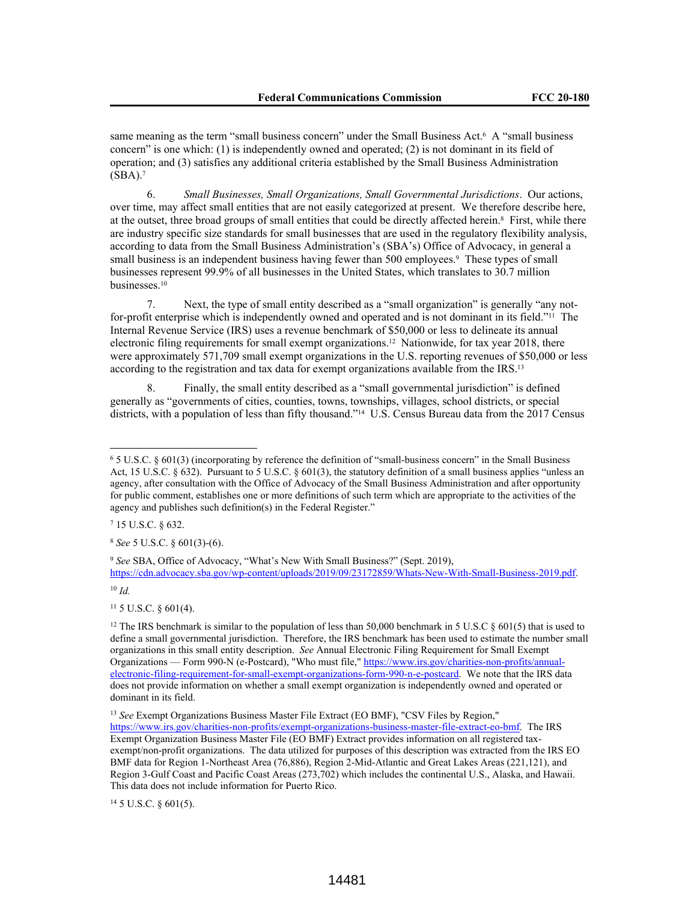same meaning as the term "small business concern" under the Small Business Act.<sup>6</sup> A "small business concern" is one which: (1) is independently owned and operated; (2) is not dominant in its field of operation; and (3) satisfies any additional criteria established by the Small Business Administration  $(SBA).7$ 

6. *Small Businesses, Small Organizations, Small Governmental Jurisdictions*. Our actions, over time, may affect small entities that are not easily categorized at present. We therefore describe here, at the outset, three broad groups of small entities that could be directly affected herein.<sup>8</sup> First, while there are industry specific size standards for small businesses that are used in the regulatory flexibility analysis, according to data from the Small Business Administration's (SBA's) Office of Advocacy, in general a small business is an independent business having fewer than 500 employees.<sup>9</sup> These types of small businesses represent 99.9% of all businesses in the United States, which translates to 30.7 million businesses.<sup>10</sup>

7. Next, the type of small entity described as a "small organization" is generally "any notfor-profit enterprise which is independently owned and operated and is not dominant in its field."11 The Internal Revenue Service (IRS) uses a revenue benchmark of \$50,000 or less to delineate its annual electronic filing requirements for small exempt organizations.12 Nationwide, for tax year 2018, there were approximately 571,709 small exempt organizations in the U.S. reporting revenues of \$50,000 or less according to the registration and tax data for exempt organizations available from the IRS.<sup>13</sup>

8. Finally, the small entity described as a "small governmental jurisdiction" is defined generally as "governments of cities, counties, towns, townships, villages, school districts, or special districts, with a population of less than fifty thousand."14 U.S. Census Bureau data from the 2017 Census

<sup>8</sup> *See* 5 U.S.C. § 601(3)-(6).

<sup>10</sup> *Id.*

<sup>11</sup> 5 U.S.C. § 601(4).

<sup>13</sup> *See* Exempt Organizations Business Master File Extract (EO BMF), "CSV Files by Region,"

https://www.irs.gov/charities-non-profits/exempt-organizations-business-master-file-extract-eo-bmf. The IRS Exempt Organization Business Master File (EO BMF) Extract provides information on all registered taxexempt/non-profit organizations. The data utilized for purposes of this description was extracted from the IRS EO BMF data for Region 1-Northeast Area (76,886), Region 2-Mid-Atlantic and Great Lakes Areas (221,121), and Region 3-Gulf Coast and Pacific Coast Areas (273,702) which includes the continental U.S., Alaska, and Hawaii. This data does not include information for Puerto Rico.

<sup>14</sup> 5 U.S.C. § 601(5).

<sup>6</sup> 5 U.S.C. § 601(3) (incorporating by reference the definition of "small-business concern" in the Small Business Act, 15 U.S.C. § 632). Pursuant to 5 U.S.C. § 601(3), the statutory definition of a small business applies "unless an agency, after consultation with the Office of Advocacy of the Small Business Administration and after opportunity for public comment, establishes one or more definitions of such term which are appropriate to the activities of the agency and publishes such definition(s) in the Federal Register."

<sup>7</sup> 15 U.S.C. § 632.

<sup>9</sup> *See* SBA, Office of Advocacy, "What's New With Small Business?" (Sept. 2019), https://cdn.advocacy.sba.gov/wp-content/uploads/2019/09/23172859/Whats-New-With-Small-Business-2019.pdf.

<sup>&</sup>lt;sup>12</sup> The IRS benchmark is similar to the population of less than 50,000 benchmark in 5 U.S.C  $\S$  601(5) that is used to define a small governmental jurisdiction. Therefore, the IRS benchmark has been used to estimate the number small organizations in this small entity description. *See* Annual Electronic Filing Requirement for Small Exempt Organizations — Form 990-N (e-Postcard), "Who must file," https://www.irs.gov/charities-non-profits/annualelectronic-filing-requirement-for-small-exempt-organizations-form-990-n-e-postcard. We note that the IRS data does not provide information on whether a small exempt organization is independently owned and operated or dominant in its field.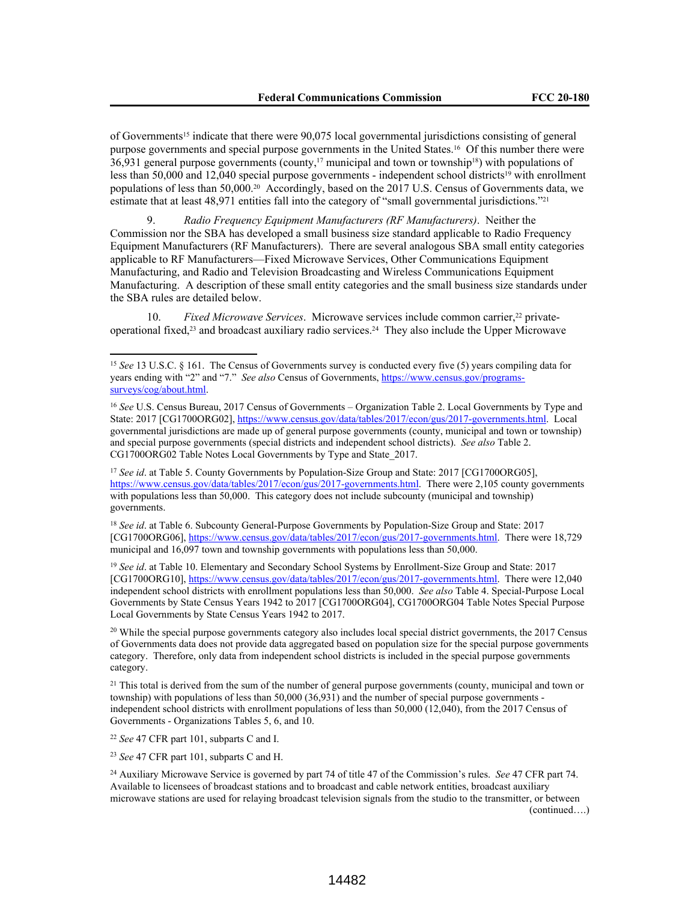of Governments15 indicate that there were 90,075 local governmental jurisdictions consisting of general purpose governments and special purpose governments in the United States.16 Of this number there were  $36,931$  general purpose governments (county,<sup>17</sup> municipal and town or township<sup>18</sup>) with populations of less than 50,000 and 12,040 special purpose governments - independent school districts<sup>19</sup> with enrollment populations of less than 50,000.20 Accordingly, based on the 2017 U.S. Census of Governments data, we estimate that at least 48,971 entities fall into the category of "small governmental jurisdictions."<sup>21</sup>

9. *Radio Frequency Equipment Manufacturers (RF Manufacturers)*. Neither the Commission nor the SBA has developed a small business size standard applicable to Radio Frequency Equipment Manufacturers (RF Manufacturers). There are several analogous SBA small entity categories applicable to RF Manufacturers—Fixed Microwave Services, Other Communications Equipment Manufacturing, and Radio and Television Broadcasting and Wireless Communications Equipment Manufacturing. A description of these small entity categories and the small business size standards under the SBA rules are detailed below.

10. Fixed Microwave Services. Microwave services include common carrier,<sup>22</sup> privateoperational fixed,23 and broadcast auxiliary radio services.24 They also include the Upper Microwave

<sup>18</sup> *See id*. at Table 6. Subcounty General-Purpose Governments by Population-Size Group and State: 2017 [CG1700ORG06], https://www.census.gov/data/tables/2017/econ/gus/2017-governments.html. There were 18,729 municipal and 16,097 town and township governments with populations less than 50,000.

<sup>19</sup> See id. at Table 10. Elementary and Secondary School Systems by Enrollment-Size Group and State: 2017 [CG1700ORG10], https://www.census.gov/data/tables/2017/econ/gus/2017-governments.html. There were 12,040 independent school districts with enrollment populations less than 50,000. *See also* Table 4. Special-Purpose Local Governments by State Census Years 1942 to 2017 [CG1700ORG04], CG1700ORG04 Table Notes Special Purpose Local Governments by State Census Years 1942 to 2017.

<sup>20</sup> While the special purpose governments category also includes local special district governments, the 2017 Census of Governments data does not provide data aggregated based on population size for the special purpose governments category. Therefore, only data from independent school districts is included in the special purpose governments category.

<sup>21</sup> This total is derived from the sum of the number of general purpose governments (county, municipal and town or township) with populations of less than 50,000 (36,931) and the number of special purpose governments independent school districts with enrollment populations of less than 50,000 (12,040), from the 2017 Census of Governments - Organizations Tables 5, 6, and 10.

<sup>22</sup> *See* 47 CFR part 101, subparts C and I.

<sup>23</sup> *See* 47 CFR part 101, subparts C and H.

<sup>24</sup> Auxiliary Microwave Service is governed by part 74 of title 47 of the Commission's rules. *See* 47 CFR part 74. Available to licensees of broadcast stations and to broadcast and cable network entities, broadcast auxiliary microwave stations are used for relaying broadcast television signals from the studio to the transmitter, or between (continued….)

<sup>15</sup> *See* 13 U.S.C. § 161. The Census of Governments survey is conducted every five (5) years compiling data for years ending with "2" and "7." *See also* Census of Governments, https://www.census.gov/programssurveys/cog/about.html.

<sup>&</sup>lt;sup>16</sup> See U.S. Census Bureau, 2017 Census of Governments – Organization Table 2. Local Governments by Type and State: 2017 [CG1700ORG02], https://www.census.gov/data/tables/2017/econ/gus/2017-governments.html. Local governmental jurisdictions are made up of general purpose governments (county, municipal and town or township) and special purpose governments (special districts and independent school districts). *See also* Table 2. CG1700ORG02 Table Notes Local Governments by Type and State\_2017.

<sup>&</sup>lt;sup>17</sup> *See id.* at Table 5. County Governments by Population-Size Group and State: 2017 [CG1700ORG05], https://www.census.gov/data/tables/2017/econ/gus/2017-governments.html. There were 2,105 county governments with populations less than 50,000. This category does not include subcounty (municipal and township) governments.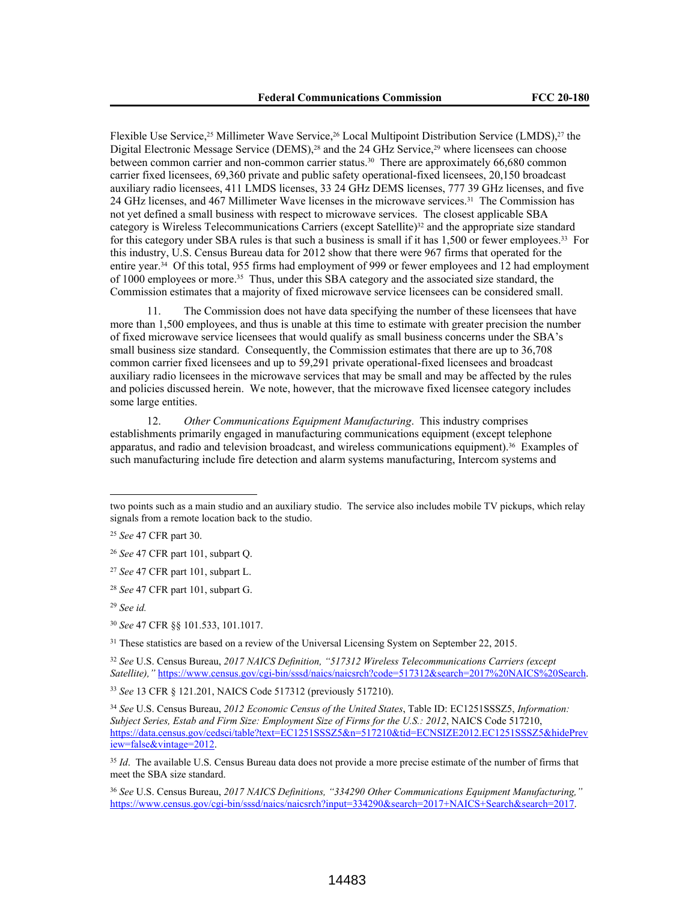Flexible Use Service,<sup>25</sup> Millimeter Wave Service,<sup>26</sup> Local Multipoint Distribution Service (LMDS),<sup>27</sup> the Digital Electronic Message Service (DEMS),<sup>28</sup> and the 24 GHz Service,<sup>29</sup> where licensees can choose between common carrier and non-common carrier status.<sup>30</sup> There are approximately 66,680 common carrier fixed licensees, 69,360 private and public safety operational-fixed licensees, 20,150 broadcast auxiliary radio licensees, 411 LMDS licenses, 33 24 GHz DEMS licenses, 777 39 GHz licenses, and five 24 GHz licenses, and 467 Millimeter Wave licenses in the microwave services.31 The Commission has not yet defined a small business with respect to microwave services. The closest applicable SBA category is Wireless Telecommunications Carriers (except Satellite)<sup>32</sup> and the appropriate size standard for this category under SBA rules is that such a business is small if it has 1,500 or fewer employees.33 For this industry, U.S. Census Bureau data for 2012 show that there were 967 firms that operated for the entire year.34 Of this total, 955 firms had employment of 999 or fewer employees and 12 had employment of 1000 employees or more.35 Thus, under this SBA category and the associated size standard, the Commission estimates that a majority of fixed microwave service licensees can be considered small.

11. The Commission does not have data specifying the number of these licensees that have more than 1,500 employees, and thus is unable at this time to estimate with greater precision the number of fixed microwave service licensees that would qualify as small business concerns under the SBA's small business size standard. Consequently, the Commission estimates that there are up to 36,708 common carrier fixed licensees and up to 59,291 private operational-fixed licensees and broadcast auxiliary radio licensees in the microwave services that may be small and may be affected by the rules and policies discussed herein. We note, however, that the microwave fixed licensee category includes some large entities.

12. *Other Communications Equipment Manufacturing*. This industry comprises establishments primarily engaged in manufacturing communications equipment (except telephone apparatus, and radio and television broadcast, and wireless communications equipment).36 Examples of such manufacturing include fire detection and alarm systems manufacturing, Intercom systems and

<sup>30</sup> *See* 47 CFR §§ 101.533, 101.1017.

<sup>31</sup> These statistics are based on a review of the Universal Licensing System on September 22, 2015.

<sup>32</sup> *See* U.S. Census Bureau, *2017 NAICS Definition, "517312 Wireless Telecommunications Carriers (except Satellite),"* https://www.census.gov/cgi-bin/sssd/naics/naicsrch?code=517312&search=2017%20NAICS%20Search.

<sup>33</sup> *See* 13 CFR § 121.201, NAICS Code 517312 (previously 517210).

<sup>35</sup> *Id.* The available U.S. Census Bureau data does not provide a more precise estimate of the number of firms that meet the SBA size standard.

<sup>36</sup> *See* U.S. Census Bureau, *2017 NAICS Definitions, "334290 Other Communications Equipment Manufacturing,"* https://www.census.gov/cgi-bin/sssd/naics/naicsrch?input=334290&search=2017+NAICS+Search&search=2017.

two points such as a main studio and an auxiliary studio. The service also includes mobile TV pickups, which relay signals from a remote location back to the studio.

<sup>25</sup> *See* 47 CFR part 30.

<sup>26</sup> *See* 47 CFR part 101, subpart Q.

<sup>27</sup> *See* 47 CFR part 101, subpart L.

<sup>28</sup> *See* 47 CFR part 101, subpart G.

<sup>29</sup> *See id.*

<sup>34</sup> *See* U.S. Census Bureau, *2012 Economic Census of the United States*, Table ID: EC1251SSSZ5, *Information: Subject Series, Estab and Firm Size: Employment Size of Firms for the U.S.: 2012*, NAICS Code 517210, https://data.census.gov/cedsci/table?text=EC1251SSSZ5&n=517210&tid=ECNSIZE2012.EC1251SSSZ5&hidePrev iew=false&vintage=2012.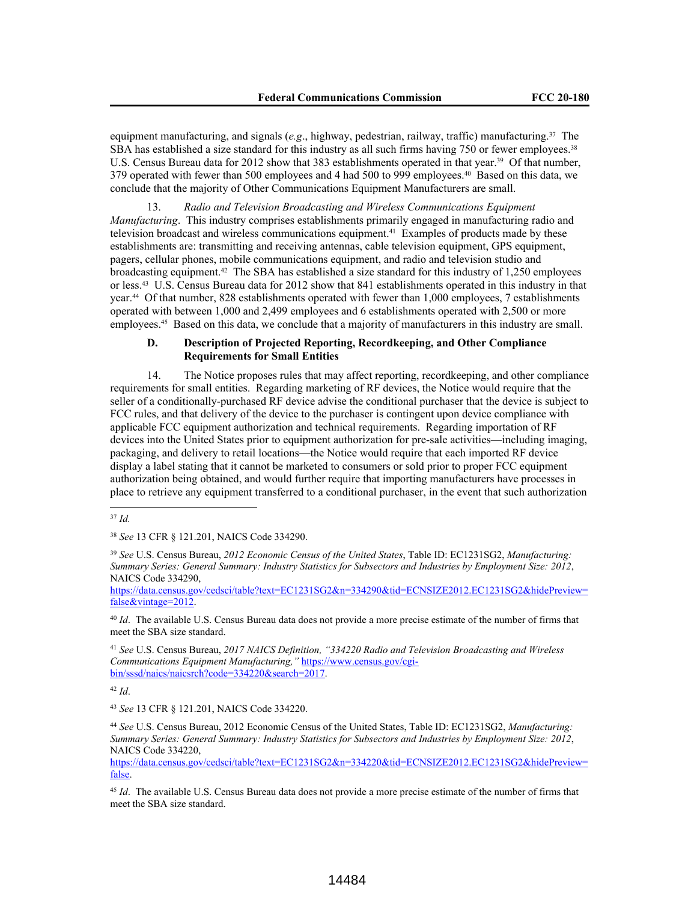equipment manufacturing, and signals (*e.g*., highway, pedestrian, railway, traffic) manufacturing.37 The SBA has established a size standard for this industry as all such firms having 750 or fewer employees.<sup>38</sup> U.S. Census Bureau data for 2012 show that 383 establishments operated in that year.<sup>39</sup> Of that number, 379 operated with fewer than 500 employees and 4 had 500 to 999 employees.40 Based on this data, we conclude that the majority of Other Communications Equipment Manufacturers are small.

13. *Radio and Television Broadcasting and Wireless Communications Equipment Manufacturing*. This industry comprises establishments primarily engaged in manufacturing radio and television broadcast and wireless communications equipment.41 Examples of products made by these establishments are: transmitting and receiving antennas, cable television equipment, GPS equipment, pagers, cellular phones, mobile communications equipment, and radio and television studio and broadcasting equipment.42 The SBA has established a size standard for this industry of 1,250 employees or less.43 U.S. Census Bureau data for 2012 show that 841 establishments operated in this industry in that year.44 Of that number, 828 establishments operated with fewer than 1,000 employees, 7 establishments operated with between 1,000 and 2,499 employees and 6 establishments operated with 2,500 or more employees.45 Based on this data, we conclude that a majority of manufacturers in this industry are small.

#### **D. Description of Projected Reporting, Recordkeeping, and Other Compliance Requirements for Small Entities**

14. The Notice proposes rules that may affect reporting, recordkeeping, and other compliance requirements for small entities. Regarding marketing of RF devices, the Notice would require that the seller of a conditionally-purchased RF device advise the conditional purchaser that the device is subject to FCC rules, and that delivery of the device to the purchaser is contingent upon device compliance with applicable FCC equipment authorization and technical requirements. Regarding importation of RF devices into the United States prior to equipment authorization for pre-sale activities—including imaging, packaging, and delivery to retail locations—the Notice would require that each imported RF device display a label stating that it cannot be marketed to consumers or sold prior to proper FCC equipment authorization being obtained, and would further require that importing manufacturers have processes in place to retrieve any equipment transferred to a conditional purchaser, in the event that such authorization

<sup>39</sup> *See* U.S. Census Bureau, *2012 Economic Census of the United States*, Table ID: EC1231SG2, *Manufacturing: Summary Series: General Summary: Industry Statistics for Subsectors and Industries by Employment Size: 2012*, NAICS Code 334290,

https://data.census.gov/cedsci/table?text=EC1231SG2&n=334290&tid=ECNSIZE2012.EC1231SG2&hidePreview= false&vintage=2012.

<sup>40</sup> *Id*. The available U.S. Census Bureau data does not provide a more precise estimate of the number of firms that meet the SBA size standard.

<sup>41</sup> *See* U.S. Census Bureau, *2017 NAICS Definition, "334220 Radio and Television Broadcasting and Wireless Communications Equipment Manufacturing,"* https://www.census.gov/cgibin/sssd/naics/naicsrch?code=334220&search=2017.

<sup>42</sup> *Id*.

<sup>43</sup> *See* 13 CFR § 121.201, NAICS Code 334220.

<sup>44</sup> *See* U.S. Census Bureau, 2012 Economic Census of the United States, Table ID: EC1231SG2, *Manufacturing: Summary Series: General Summary: Industry Statistics for Subsectors and Industries by Employment Size: 2012*, NAICS Code 334220,

https://data.census.gov/cedsci/table?text=EC1231SG2&n=334220&tid=ECNSIZE2012.EC1231SG2&hidePreview= false.

<sup>45</sup> *Id*. The available U.S. Census Bureau data does not provide a more precise estimate of the number of firms that meet the SBA size standard.

<sup>37</sup> *Id.*

<sup>38</sup> *See* 13 CFR § 121.201, NAICS Code 334290.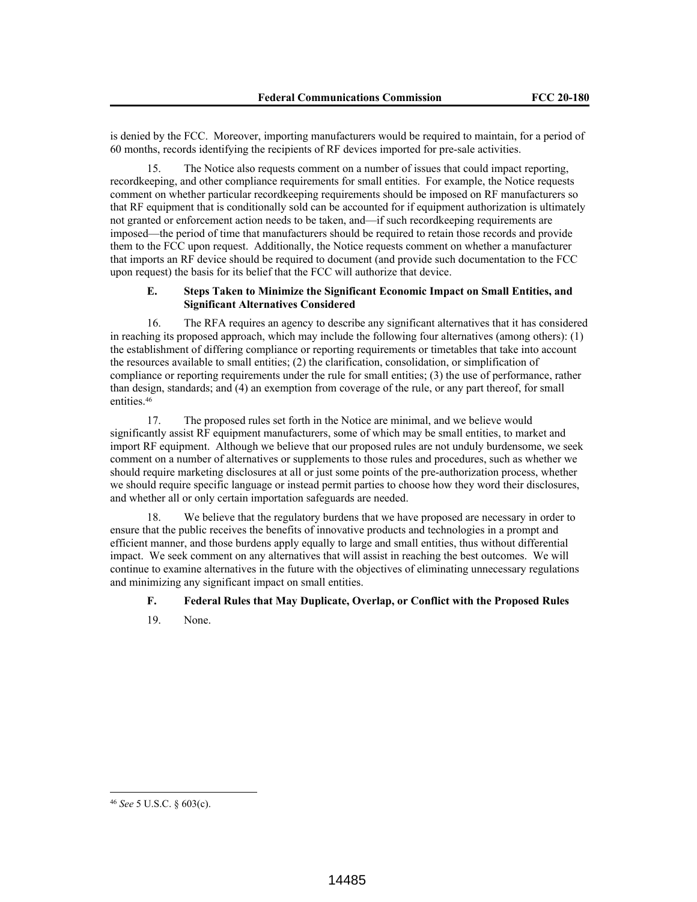is denied by the FCC. Moreover, importing manufacturers would be required to maintain, for a period of 60 months, records identifying the recipients of RF devices imported for pre-sale activities.

15. The Notice also requests comment on a number of issues that could impact reporting, recordkeeping, and other compliance requirements for small entities. For example, the Notice requests comment on whether particular recordkeeping requirements should be imposed on RF manufacturers so that RF equipment that is conditionally sold can be accounted for if equipment authorization is ultimately not granted or enforcement action needs to be taken, and—if such recordkeeping requirements are imposed—the period of time that manufacturers should be required to retain those records and provide them to the FCC upon request. Additionally, the Notice requests comment on whether a manufacturer that imports an RF device should be required to document (and provide such documentation to the FCC upon request) the basis for its belief that the FCC will authorize that device.

# **E. Steps Taken to Minimize the Significant Economic Impact on Small Entities, and Significant Alternatives Considered**

16. The RFA requires an agency to describe any significant alternatives that it has considered in reaching its proposed approach, which may include the following four alternatives (among others): (1) the establishment of differing compliance or reporting requirements or timetables that take into account the resources available to small entities; (2) the clarification, consolidation, or simplification of compliance or reporting requirements under the rule for small entities; (3) the use of performance, rather than design, standards; and (4) an exemption from coverage of the rule, or any part thereof, for small entities.<sup>46</sup>

17. The proposed rules set forth in the Notice are minimal, and we believe would significantly assist RF equipment manufacturers, some of which may be small entities, to market and import RF equipment. Although we believe that our proposed rules are not unduly burdensome, we seek comment on a number of alternatives or supplements to those rules and procedures, such as whether we should require marketing disclosures at all or just some points of the pre-authorization process, whether we should require specific language or instead permit parties to choose how they word their disclosures, and whether all or only certain importation safeguards are needed.

18. We believe that the regulatory burdens that we have proposed are necessary in order to ensure that the public receives the benefits of innovative products and technologies in a prompt and efficient manner, and those burdens apply equally to large and small entities, thus without differential impact. We seek comment on any alternatives that will assist in reaching the best outcomes. We will continue to examine alternatives in the future with the objectives of eliminating unnecessary regulations and minimizing any significant impact on small entities.

# **F. Federal Rules that May Duplicate, Overlap, or Conflict with the Proposed Rules**

19. None.

<sup>46</sup> *See* 5 U.S.C. § 603(c).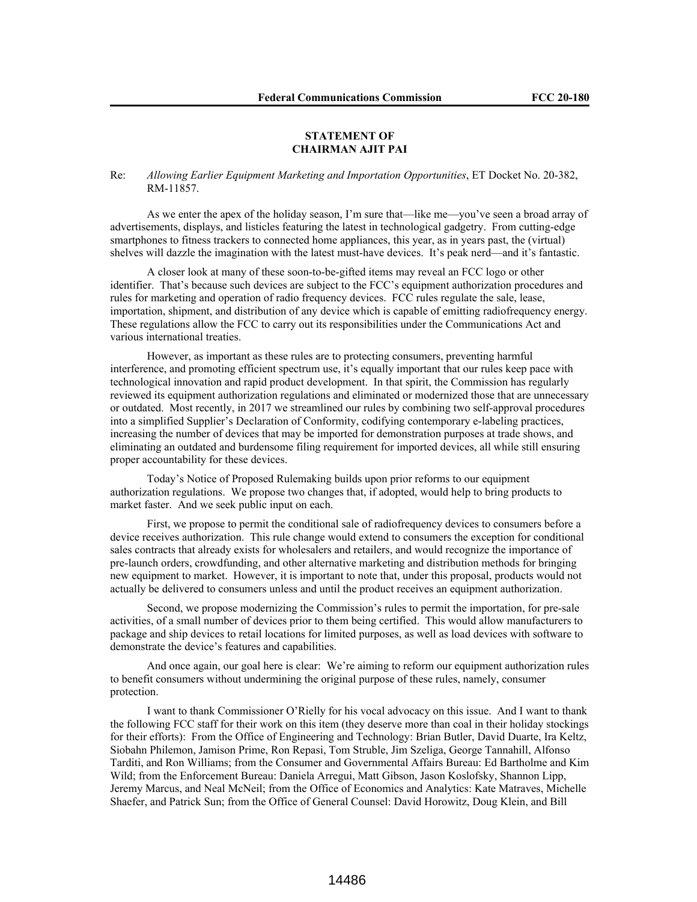#### **STATEMENT OF CHAIRMAN AJIT PAI**

Re: *Allowing Earlier Equipment Marketing and Importation Opportunities*, ET Docket No. 20-382, RM-11857.

As we enter the apex of the holiday season, I'm sure that—like me—you've seen a broad array of advertisements, displays, and listicles featuring the latest in technological gadgetry. From cutting-edge smartphones to fitness trackers to connected home appliances, this year, as in years past, the (virtual) shelves will dazzle the imagination with the latest must-have devices. It's peak nerd—and it's fantastic.

A closer look at many of these soon-to-be-gifted items may reveal an FCC logo or other identifier. That's because such devices are subject to the FCC's equipment authorization procedures and rules for marketing and operation of radio frequency devices. FCC rules regulate the sale, lease, importation, shipment, and distribution of any device which is capable of emitting radiofrequency energy. These regulations allow the FCC to carry out its responsibilities under the Communications Act and various international treaties.

However, as important as these rules are to protecting consumers, preventing harmful interference, and promoting efficient spectrum use, it's equally important that our rules keep pace with technological innovation and rapid product development. In that spirit, the Commission has regularly reviewed its equipment authorization regulations and eliminated or modernized those that are unnecessary or outdated. Most recently, in 2017 we streamlined our rules by combining two self-approval procedures into a simplified Supplier's Declaration of Conformity, codifying contemporary e-labeling practices, increasing the number of devices that may be imported for demonstration purposes at trade shows, and eliminating an outdated and burdensome filing requirement for imported devices, all while still ensuring proper accountability for these devices.

Today's Notice of Proposed Rulemaking builds upon prior reforms to our equipment authorization regulations. We propose two changes that, if adopted, would help to bring products to market faster. And we seek public input on each.

First, we propose to permit the conditional sale of radiofrequency devices to consumers before a device receives authorization. This rule change would extend to consumers the exception for conditional sales contracts that already exists for wholesalers and retailers, and would recognize the importance of pre-launch orders, crowdfunding, and other alternative marketing and distribution methods for bringing new equipment to market. However, it is important to note that, under this proposal, products would not actually be delivered to consumers unless and until the product receives an equipment authorization.

Second, we propose modernizing the Commission's rules to permit the importation, for pre-sale activities, of a small number of devices prior to them being certified. This would allow manufacturers to package and ship devices to retail locations for limited purposes, as well as load devices with software to demonstrate the device's features and capabilities.

And once again, our goal here is clear: We're aiming to reform our equipment authorization rules to benefit consumers without undermining the original purpose of these rules, namely, consumer protection.

I want to thank Commissioner O'Rielly for his vocal advocacy on this issue. And I want to thank the following FCC staff for their work on this item (they deserve more than coal in their holiday stockings for their efforts): From the Office of Engineering and Technology: Brian Butler, David Duarte, Ira Keltz, Siobahn Philemon, Jamison Prime, Ron Repasi, Tom Struble, Jim Szeliga, George Tannahill, Alfonso Tarditi, and Ron Williams; from the Consumer and Governmental Affairs Bureau: Ed Bartholme and Kim Wild; from the Enforcement Bureau: Daniela Arregui, Matt Gibson, Jason Koslofsky, Shannon Lipp, Jeremy Marcus, and Neal McNeil; from the Office of Economics and Analytics: Kate Matraves, Michelle Shaefer, and Patrick Sun; from the Office of General Counsel: David Horowitz, Doug Klein, and Bill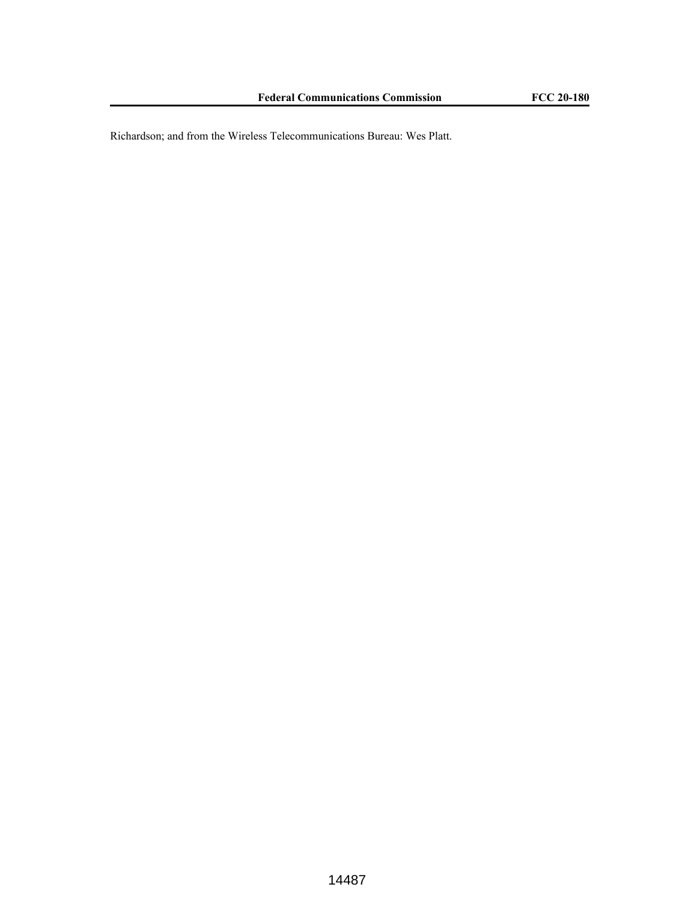Richardson; and from the Wireless Telecommunications Bureau: Wes Platt.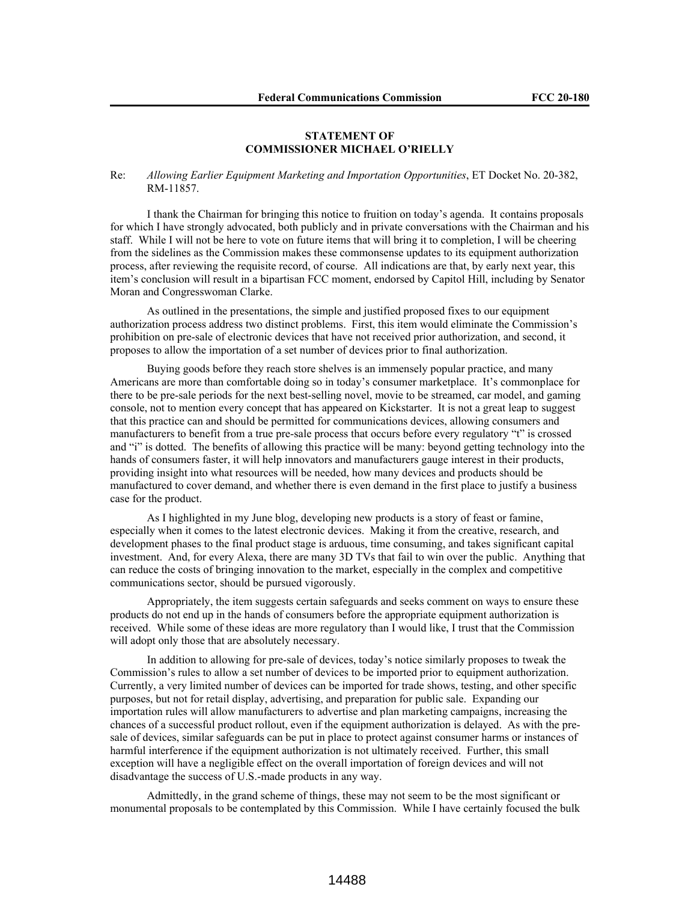## **STATEMENT OF COMMISSIONER MICHAEL O'RIELLY**

Re: *Allowing Earlier Equipment Marketing and Importation Opportunities*, ET Docket No. 20-382, RM-11857.

I thank the Chairman for bringing this notice to fruition on today's agenda. It contains proposals for which I have strongly advocated, both publicly and in private conversations with the Chairman and his staff. While I will not be here to vote on future items that will bring it to completion, I will be cheering from the sidelines as the Commission makes these commonsense updates to its equipment authorization process, after reviewing the requisite record, of course. All indications are that, by early next year, this item's conclusion will result in a bipartisan FCC moment, endorsed by Capitol Hill, including by Senator Moran and Congresswoman Clarke.

As outlined in the presentations, the simple and justified proposed fixes to our equipment authorization process address two distinct problems. First, this item would eliminate the Commission's prohibition on pre-sale of electronic devices that have not received prior authorization, and second, it proposes to allow the importation of a set number of devices prior to final authorization.

Buying goods before they reach store shelves is an immensely popular practice, and many Americans are more than comfortable doing so in today's consumer marketplace. It's commonplace for there to be pre-sale periods for the next best-selling novel, movie to be streamed, car model, and gaming console, not to mention every concept that has appeared on Kickstarter. It is not a great leap to suggest that this practice can and should be permitted for communications devices, allowing consumers and manufacturers to benefit from a true pre-sale process that occurs before every regulatory "t" is crossed and "i" is dotted. The benefits of allowing this practice will be many: beyond getting technology into the hands of consumers faster, it will help innovators and manufacturers gauge interest in their products, providing insight into what resources will be needed, how many devices and products should be manufactured to cover demand, and whether there is even demand in the first place to justify a business case for the product.

As I highlighted in my June blog, developing new products is a story of feast or famine, especially when it comes to the latest electronic devices. Making it from the creative, research, and development phases to the final product stage is arduous, time consuming, and takes significant capital investment. And, for every Alexa, there are many 3D TVs that fail to win over the public. Anything that can reduce the costs of bringing innovation to the market, especially in the complex and competitive communications sector, should be pursued vigorously.

Appropriately, the item suggests certain safeguards and seeks comment on ways to ensure these products do not end up in the hands of consumers before the appropriate equipment authorization is received. While some of these ideas are more regulatory than I would like, I trust that the Commission will adopt only those that are absolutely necessary.

In addition to allowing for pre-sale of devices, today's notice similarly proposes to tweak the Commission's rules to allow a set number of devices to be imported prior to equipment authorization. Currently, a very limited number of devices can be imported for trade shows, testing, and other specific purposes, but not for retail display, advertising, and preparation for public sale. Expanding our importation rules will allow manufacturers to advertise and plan marketing campaigns, increasing the chances of a successful product rollout, even if the equipment authorization is delayed. As with the presale of devices, similar safeguards can be put in place to protect against consumer harms or instances of harmful interference if the equipment authorization is not ultimately received. Further, this small exception will have a negligible effect on the overall importation of foreign devices and will not disadvantage the success of U.S.-made products in any way.

Admittedly, in the grand scheme of things, these may not seem to be the most significant or monumental proposals to be contemplated by this Commission. While I have certainly focused the bulk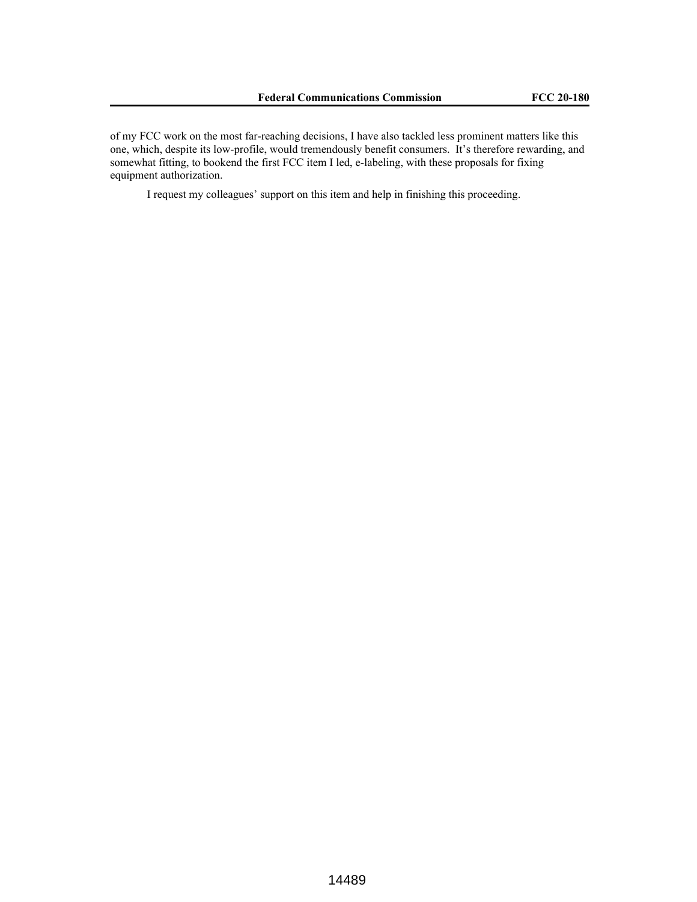of my FCC work on the most far-reaching decisions, I have also tackled less prominent matters like this one, which, despite its low-profile, would tremendously benefit consumers. It's therefore rewarding, and somewhat fitting, to bookend the first FCC item I led, e-labeling, with these proposals for fixing equipment authorization.

I request my colleagues' support on this item and help in finishing this proceeding.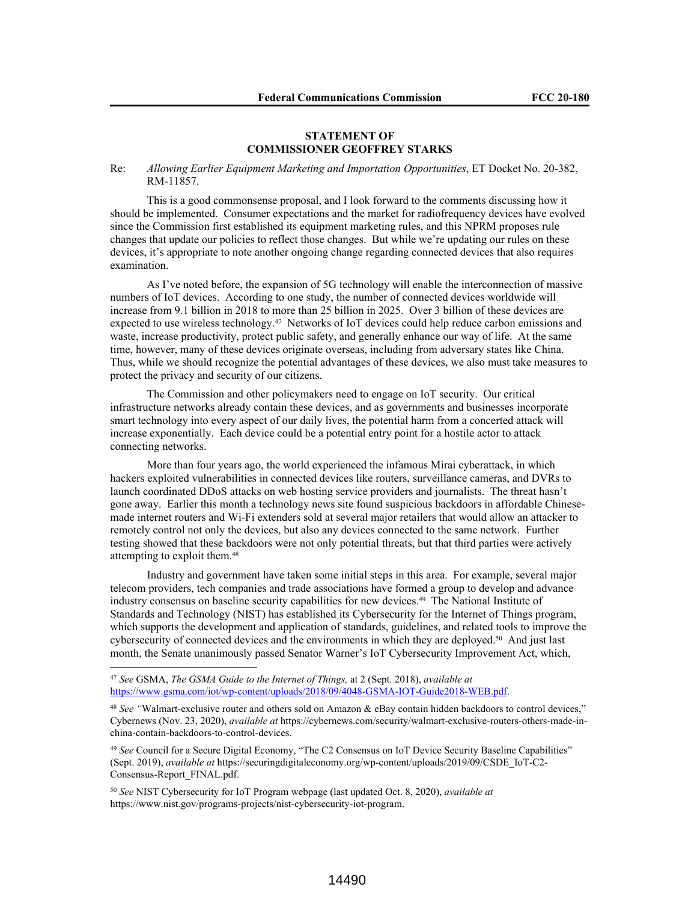## **STATEMENT OF COMMISSIONER GEOFFREY STARKS**

## Re: *Allowing Earlier Equipment Marketing and Importation Opportunities*, ET Docket No. 20-382, RM-11857.

This is a good commonsense proposal, and I look forward to the comments discussing how it should be implemented. Consumer expectations and the market for radiofrequency devices have evolved since the Commission first established its equipment marketing rules, and this NPRM proposes rule changes that update our policies to reflect those changes. But while we're updating our rules on these devices, it's appropriate to note another ongoing change regarding connected devices that also requires examination.

As I've noted before, the expansion of 5G technology will enable the interconnection of massive numbers of IoT devices. According to one study, the number of connected devices worldwide will increase from 9.1 billion in 2018 to more than 25 billion in 2025. Over 3 billion of these devices are expected to use wireless technology.47 Networks of IoT devices could help reduce carbon emissions and waste, increase productivity, protect public safety, and generally enhance our way of life. At the same time, however, many of these devices originate overseas, including from adversary states like China. Thus, while we should recognize the potential advantages of these devices, we also must take measures to protect the privacy and security of our citizens.

The Commission and other policymakers need to engage on IoT security. Our critical infrastructure networks already contain these devices, and as governments and businesses incorporate smart technology into every aspect of our daily lives, the potential harm from a concerted attack will increase exponentially. Each device could be a potential entry point for a hostile actor to attack connecting networks.

More than four years ago, the world experienced the infamous Mirai cyberattack, in which hackers exploited vulnerabilities in connected devices like routers, surveillance cameras, and DVRs to launch coordinated DDoS attacks on web hosting service providers and journalists. The threat hasn't gone away. Earlier this month a technology news site found suspicious backdoors in affordable Chinesemade internet routers and Wi-Fi extenders sold at several major retailers that would allow an attacker to remotely control not only the devices, but also any devices connected to the same network. Further testing showed that these backdoors were not only potential threats, but that third parties were actively attempting to exploit them.<sup>48</sup>

Industry and government have taken some initial steps in this area. For example, several major telecom providers, tech companies and trade associations have formed a group to develop and advance industry consensus on baseline security capabilities for new devices.49 The National Institute of Standards and Technology (NIST) has established its Cybersecurity for the Internet of Things program, which supports the development and application of standards, guidelines, and related tools to improve the cybersecurity of connected devices and the environments in which they are deployed.50 And just last month, the Senate unanimously passed Senator Warner's IoT Cybersecurity Improvement Act, which,

<sup>47</sup> *See* GSMA, *The GSMA Guide to the Internet of Things,* at 2 (Sept. 2018), *available at* https://www.gsma.com/iot/wp-content/uploads/2018/09/4048-GSMA-IOT-Guide2018-WEB.pdf.

<sup>&</sup>lt;sup>48</sup> See "Walmart-exclusive router and others sold on Amazon & eBay contain hidden backdoors to control devices," Cybernews (Nov. 23, 2020), *available at* https://cybernews.com/security/walmart-exclusive-routers-others-made-inchina-contain-backdoors-to-control-devices.

<sup>&</sup>lt;sup>49</sup> See Council for a Secure Digital Economy, "The C2 Consensus on IoT Device Security Baseline Capabilities" (Sept. 2019), *available at* https://securingdigitaleconomy.org/wp-content/uploads/2019/09/CSDE\_IoT-C2- Consensus-Report\_FINAL.pdf.

<sup>50</sup> *See* NIST Cybersecurity for IoT Program webpage (last updated Oct. 8, 2020), *available at*  https://www.nist.gov/programs-projects/nist-cybersecurity-iot-program.